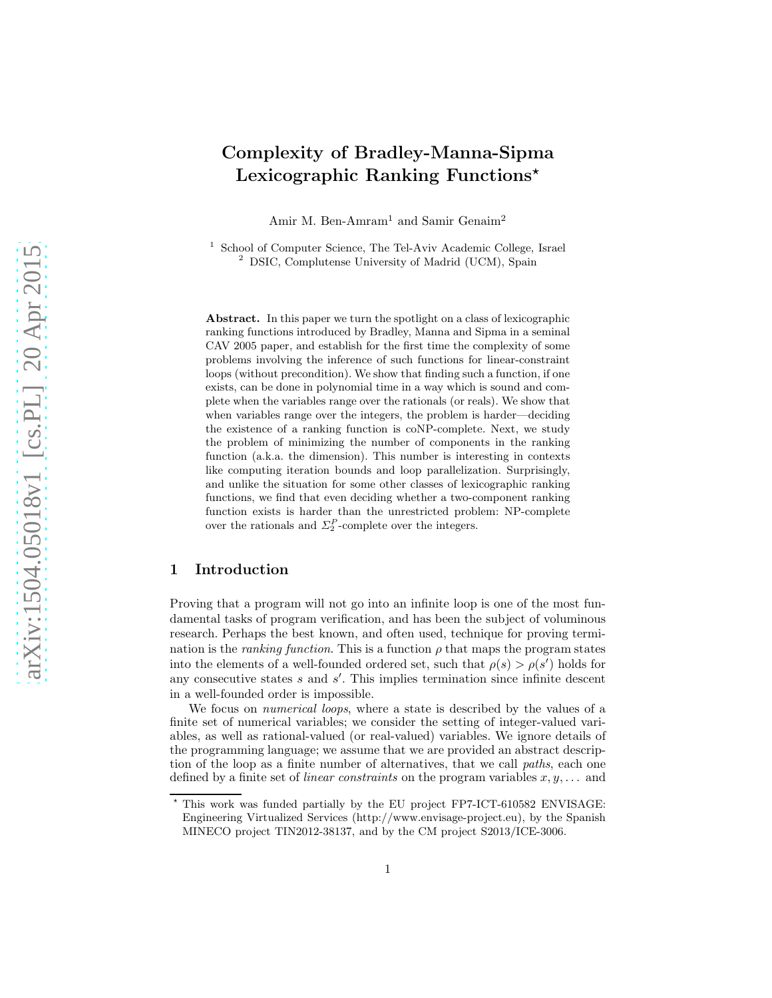# Complexity of Bradley-Manna-Sipma Lexicographic Ranking Functions\*

Amir M. Ben-Amram<sup>1</sup> and Samir Genaim<sup>2</sup>

<sup>1</sup> School of Computer Science, The Tel-Aviv Academic College, Israel <sup>2</sup> DSIC, Complutense University of Madrid (UCM), Spain

Abstract. In this paper we turn the spotlight on a class of lexicographic ranking functions introduced by Bradley, Manna and Sipma in a seminal CAV 2005 paper, and establish for the first time the complexity of some problems involving the inference of such functions for linear-constraint loops (without precondition). We show that finding such a function, if one exists, can be done in polynomial time in a way which is sound and complete when the variables range over the rationals (or reals). We show that when variables range over the integers, the problem is harder—deciding the existence of a ranking function is coNP-complete. Next, we study the problem of minimizing the number of components in the ranking function (a.k.a. the dimension). This number is interesting in contexts like computing iteration bounds and loop parallelization. Surprisingly, and unlike the situation for some other classes of lexicographic ranking functions, we find that even deciding whether a two-component ranking function exists is harder than the unrestricted problem: NP-complete over the rationals and  $\Sigma_2^P$ -complete over the integers.

## <span id="page-0-0"></span>1 Introduction

Proving that a program will not go into an infinite loop is one of the most fundamental tasks of program verification, and has been the subject of voluminous research. Perhaps the best known, and often used, technique for proving termination is the *ranking function*. This is a function  $\rho$  that maps the program states into the elements of a well-founded ordered set, such that  $\rho(s) > \rho(s')$  holds for any consecutive states  $s$  and  $s'$ . This implies termination since infinite descent in a well-founded order is impossible.

We focus on *numerical loops*, where a state is described by the values of a finite set of numerical variables; we consider the setting of integer-valued variables, as well as rational-valued (or real-valued) variables. We ignore details of the programming language; we assume that we are provided an abstract description of the loop as a finite number of alternatives, that we call paths, each one defined by a finite set of *linear constraints* on the program variables  $x, y, \ldots$  and

 $^{\star}$  This work was funded partially by the EU project FP7-ICT-610582 ENVISAGE: Engineering Virtualized Services (http://www.envisage-project.eu), by the Spanish MINECO project TIN2012-38137, and by the CM project S2013/ICE-3006.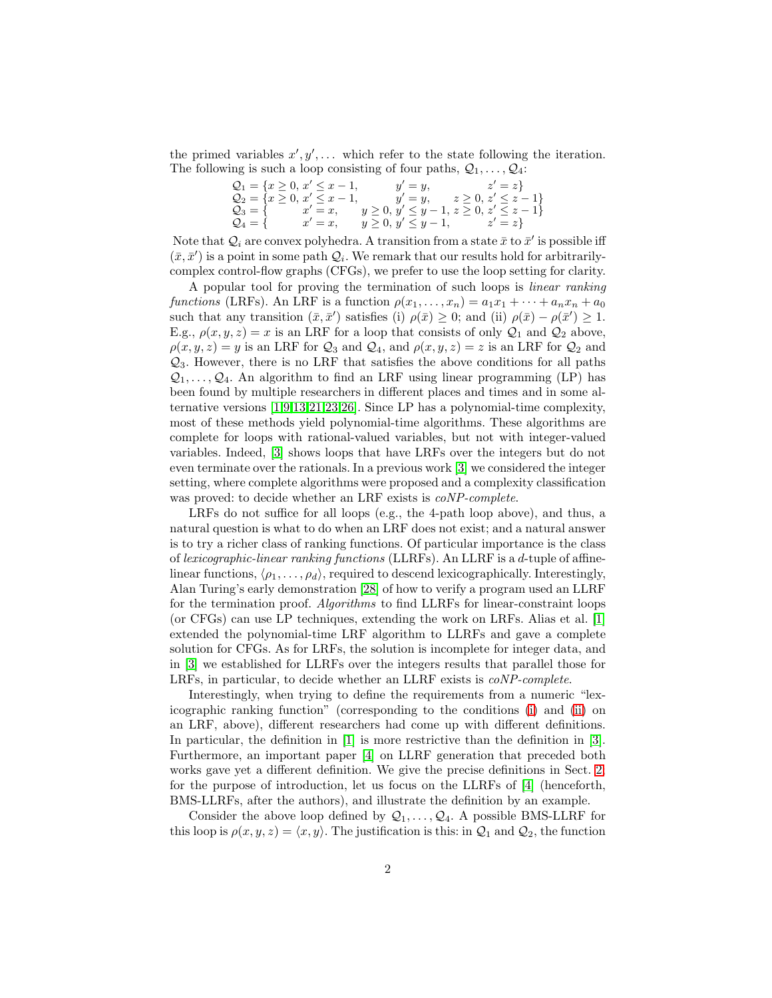the primed variables  $x', y', \ldots$  which refer to the state following the iteration. The following is such a loop consisting of four paths,  $Q_1, \ldots, Q_4$ :

<span id="page-1-1"></span><span id="page-1-0"></span>

| $Q_1 = \{x \geq 0, x' \leq x - 1,$           |            |                                                                                      | $y' = y,$ $z' = z$                |
|----------------------------------------------|------------|--------------------------------------------------------------------------------------|-----------------------------------|
| $\mathcal{Q}_2 = \{x \geq 0, x' \leq x - 1,$ |            |                                                                                      | $y' = y,$ $z \ge 0, z' \le z - 1$ |
|                                              |            | $\mathcal{Q}_3 = \{$ $x' = x, \quad y \ge 0, y' \le y - 1, z \ge 0, z' \le z - 1 \}$ |                                   |
| $\mathcal{Q}_4 = \{$                         | $x' = x$ , | $y \ge 0, y' \le y - 1,$ $z' = z$                                                    |                                   |

Note that  $\mathcal{Q}_i$  are convex polyhedra. A transition from a state  $\bar{x}$  to  $\bar{x}'$  is possible iff  $(\bar{x}, \bar{x}')$  is a point in some path  $\mathcal{Q}_i$ . We remark that our results hold for arbitrarilycomplex control-flow graphs (CFGs), we prefer to use the loop setting for clarity.

A popular tool for proving the termination of such loops is linear ranking functions (LRFs). An LRF is a function  $\rho(x_1, \ldots, x_n) = a_1 x_1 + \cdots + a_n x_n + a_0$ such that any transition  $(\bar{x}, \bar{x}')$  satisfies (i)  $\rho(\bar{x}) \geq 0$ ; and (ii)  $\rho(\bar{x}) - \rho(\bar{x}') \geq 1$ . E.g.,  $\rho(x, y, z) = x$  is an LRF for a loop that consists of only  $\mathcal{Q}_1$  and  $\mathcal{Q}_2$  above,  $\rho(x, y, z) = y$  is an LRF for  $\mathcal{Q}_3$  and  $\mathcal{Q}_4$ , and  $\rho(x, y, z) = z$  is an LRF for  $\mathcal{Q}_2$  and  $\mathcal{Q}_3$ . However, there is no LRF that satisfies the above conditions for all paths  $Q_1, \ldots, Q_4$ . An algorithm to find an LRF using linear programming (LP) has been found by multiple researchers in different places and times and in some alternative versions [\[1,](#page-15-0)[9,](#page-15-1)[13,](#page-15-2)[21](#page-16-0)[,23,](#page-16-1)[26\]](#page-16-2). Since LP has a polynomial-time complexity, most of these methods yield polynomial-time algorithms. These algorithms are complete for loops with rational-valued variables, but not with integer-valued variables. Indeed, [\[3\]](#page-15-3) shows loops that have LRFs over the integers but do not even terminate over the rationals. In a previous work [\[3\]](#page-15-3) we considered the integer setting, where complete algorithms were proposed and a complexity classification was proved: to decide whether an LRF exists is coNP-complete.

LRFs do not suffice for all loops (e.g., the 4-path loop above), and thus, a natural question is what to do when an LRF does not exist; and a natural answer is to try a richer class of ranking functions. Of particular importance is the class of lexicographic-linear ranking functions (LLRFs). An LLRF is a d-tuple of affinelinear functions,  $\langle \rho_1, \ldots, \rho_d \rangle$ , required to descend lexicographically. Interestingly, Alan Turing's early demonstration [\[28\]](#page-16-3) of how to verify a program used an LLRF for the termination proof. Algorithms to find LLRFs for linear-constraint loops (or CFGs) can use LP techniques, extending the work on LRFs. Alias et al. [\[1\]](#page-15-0) extended the polynomial-time LRF algorithm to LLRFs and gave a complete solution for CFGs. As for LRFs, the solution is incomplete for integer data, and in [\[3\]](#page-15-3) we established for LLRFs over the integers results that parallel those for LRFs, in particular, to decide whether an LLRF exists is coNP-complete.

Interestingly, when trying to define the requirements from a numeric "lexicographic ranking function" (corresponding to the conditions [\(i\)](#page-1-0) and [\(ii\)](#page-1-1) on an LRF, above), different researchers had come up with different definitions. In particular, the definition in [\[1\]](#page-15-0) is more restrictive than the definition in [\[3\]](#page-15-3). Furthermore, an important paper [\[4\]](#page-15-4) on LLRF generation that preceded both works gave yet a different definition. We give the precise definitions in Sect. [2;](#page-3-0) for the purpose of introduction, let us focus on the LLRFs of [\[4\]](#page-15-4) (henceforth, BMS-LLRFs, after the authors), and illustrate the definition by an example.

Consider the above loop defined by  $Q_1, \ldots, Q_4$ . A possible BMS-LLRF for this loop is  $\rho(x, y, z) = \langle x, y \rangle$ . The justification is this: in  $\mathcal{Q}_1$  and  $\mathcal{Q}_2$ , the function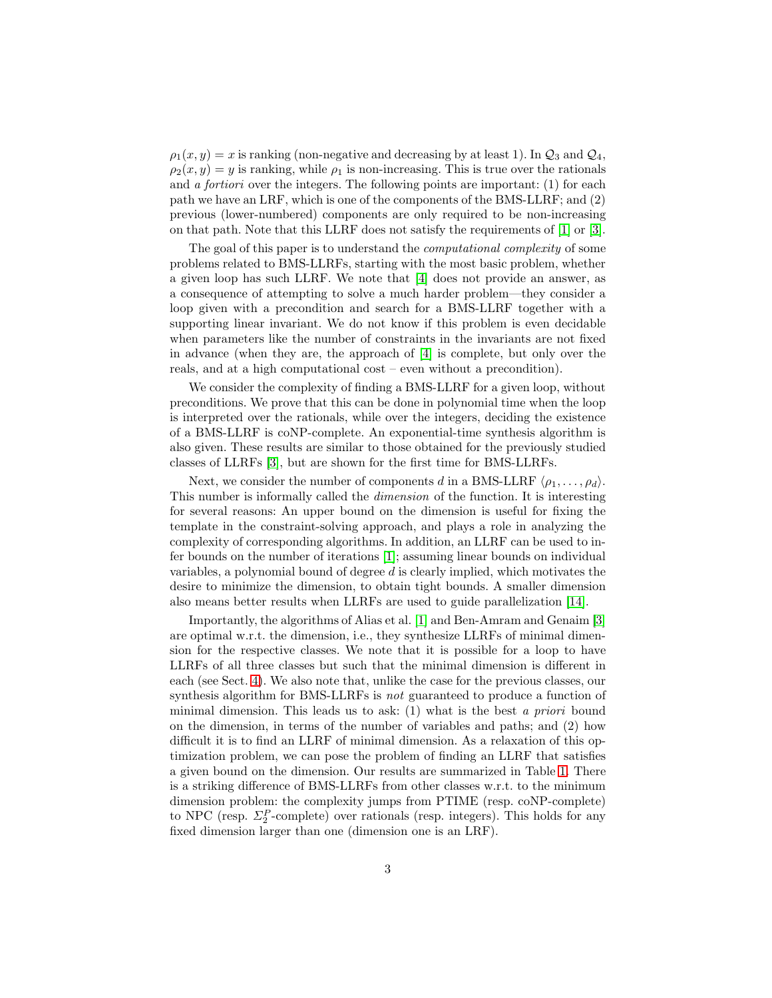$\rho_1(x, y) = x$  is ranking (non-negative and decreasing by at least 1). In  $\mathcal{Q}_3$  and  $\mathcal{Q}_4$ ,  $\rho_2(x, y) = y$  is ranking, while  $\rho_1$  is non-increasing. This is true over the rationals and a fortiori over the integers. The following points are important:  $(1)$  for each path we have an LRF, which is one of the components of the BMS-LLRF; and (2) previous (lower-numbered) components are only required to be non-increasing on that path. Note that this LLRF does not satisfy the requirements of [\[1\]](#page-15-0) or [\[3\]](#page-15-3).

The goal of this paper is to understand the computational complexity of some problems related to BMS-LLRFs, starting with the most basic problem, whether a given loop has such LLRF. We note that [\[4\]](#page-15-4) does not provide an answer, as a consequence of attempting to solve a much harder problem—they consider a loop given with a precondition and search for a BMS-LLRF together with a supporting linear invariant. We do not know if this problem is even decidable when parameters like the number of constraints in the invariants are not fixed in advance (when they are, the approach of [\[4\]](#page-15-4) is complete, but only over the reals, and at a high computational cost – even without a precondition).

We consider the complexity of finding a BMS-LLRF for a given loop, without preconditions. We prove that this can be done in polynomial time when the loop is interpreted over the rationals, while over the integers, deciding the existence of a BMS-LLRF is coNP-complete. An exponential-time synthesis algorithm is also given. These results are similar to those obtained for the previously studied classes of LLRFs [\[3\]](#page-15-3), but are shown for the first time for BMS-LLRFs.

Next, we consider the number of components d in a BMS-LLRF  $\langle \rho_1, \ldots, \rho_d \rangle$ . This number is informally called the dimension of the function. It is interesting for several reasons: An upper bound on the dimension is useful for fixing the template in the constraint-solving approach, and plays a role in analyzing the complexity of corresponding algorithms. In addition, an LLRF can be used to infer bounds on the number of iterations [\[1\]](#page-15-0); assuming linear bounds on individual variables, a polynomial bound of degree d is clearly implied, which motivates the desire to minimize the dimension, to obtain tight bounds. A smaller dimension also means better results when LLRFs are used to guide parallelization [\[14\]](#page-15-5).

Importantly, the algorithms of Alias et al. [\[1\]](#page-15-0) and Ben-Amram and Genaim [\[3\]](#page-15-3) are optimal w.r.t. the dimension, i.e., they synthesize LLRFs of minimal dimension for the respective classes. We note that it is possible for a loop to have LLRFs of all three classes but such that the minimal dimension is different in each (see Sect. [4\)](#page-7-0). We also note that, unlike the case for the previous classes, our synthesis algorithm for BMS-LLRFs is not guaranteed to produce a function of minimal dimension. This leads us to ask:  $(1)$  what is the best a priori bound on the dimension, in terms of the number of variables and paths; and (2) how difficult it is to find an LLRF of minimal dimension. As a relaxation of this optimization problem, we can pose the problem of finding an LLRF that satisfies a given bound on the dimension. Our results are summarized in Table [1.](#page-1-1) There is a striking difference of BMS-LLRFs from other classes w.r.t. to the minimum dimension problem: the complexity jumps from PTIME (resp. coNP-complete) to NPC (resp.  $\Sigma_2^P$ -complete) over rationals (resp. integers). This holds for any fixed dimension larger than one (dimension one is an LRF).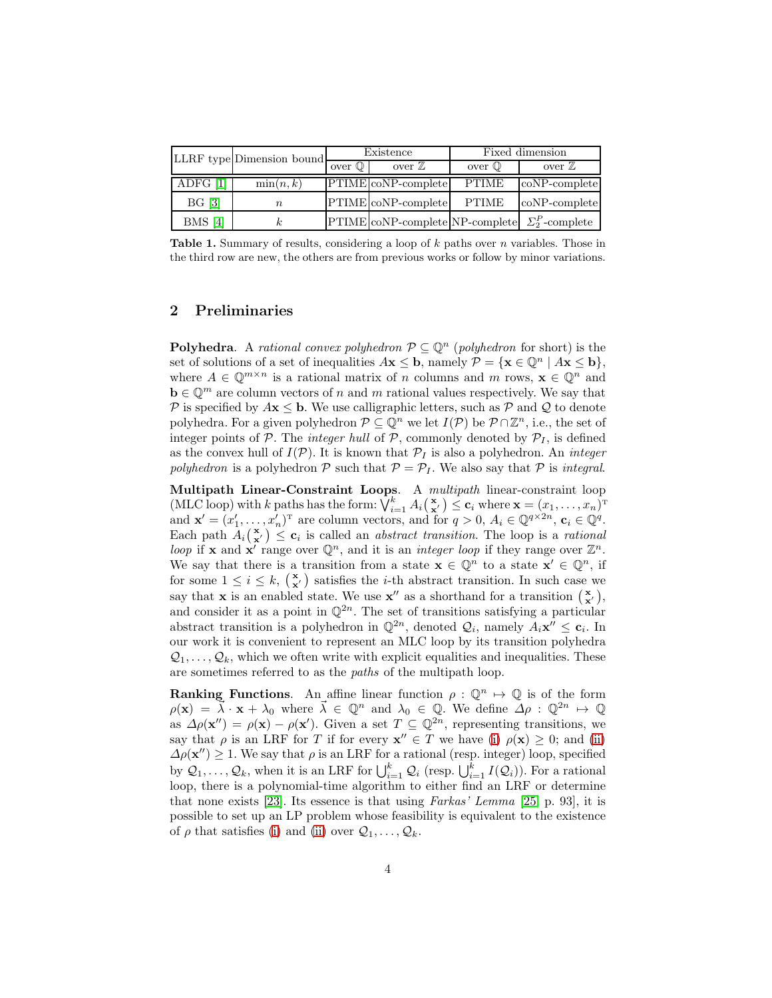|           | LLRF type Dimension bound | Existence     |                                                                   | Fixed dimension   |                  |
|-----------|---------------------------|---------------|-------------------------------------------------------------------|-------------------|------------------|
|           |                           | $over \bb{O}$ | over $\mathbb Z$                                                  | over $\mathbb{O}$ | over $\mathbb Z$ |
| ADFG [1]  | $\min(n,k)$               |               | PTIME coNP-complete                                               | <b>PTIME</b>      | $coNP$ -complete |
| BG [3]    | $\it n$                   |               | PTIME coNP-complete                                               | <b>PTIME</b>      | $coNP-complete$  |
| $BMS$ [4] | $_{k}$                    |               | $\text{PTIME}$ coNP-complete NP-complete $\sum_{2}^{P}$ -complete |                   |                  |

**Table 1.** Summary of results, considering a loop of  $k$  paths over n variables. Those in the third row are new, the others are from previous works or follow by minor variations.

## <span id="page-3-0"></span>2 Preliminaries

**Polyhedra.** A rational convex polyhedron  $P \subseteq \mathbb{Q}^n$  (polyhedron for short) is the set of solutions of a set of inequalities  $A\mathbf{x} \leq \mathbf{b}$ , namely  $\mathcal{P} = {\mathbf{x} \in \mathbb{Q}^n \mid A\mathbf{x} \leq \mathbf{b}}$ , where  $A \in \mathbb{Q}^{m \times n}$  is a rational matrix of n columns and m rows,  $\mathbf{x} \in \mathbb{Q}^n$  and  $\mathbf{b} \in \mathbb{Q}^m$  are column vectors of n and m rational values respectively. We say that P is specified by  $A\mathbf{x} \leq \mathbf{b}$ . We use calligraphic letters, such as P and Q to denote polyhedra. For a given polyhedron  $P \subseteq \mathbb{Q}^n$  we let  $I(\mathcal{P})$  be  $\mathcal{P} \cap \mathbb{Z}^n$ , i.e., the set of integer points of P. The *integer hull* of P, commonly denoted by  $P_I$ , is defined as the convex hull of  $I(\mathcal{P})$ . It is known that  $\mathcal{P}_I$  is also a polyhedron. An *integer* polyhedron is a polyhedron  $P$  such that  $P = P_I$ . We also say that P is integral.

Multipath Linear-Constraint Loops. A multipath linear-constraint loop (MLC loop) with k paths has the form:  $\bigvee_{i=1}^k A_i\left(\begin{array}{c} \mathbf{x} \end{array}\right) \leq \mathbf{c}_i$  where  $\mathbf{x} = (x_1, \ldots, x_n)^T$ and  $\mathbf{x}' = (x'_1, \dots, x'_n)^T$  are column vectors, and for  $q > 0$ ,  $A_i \in \mathbb{Q}^{q \times 2n}$ ,  $\mathbf{c}_i \in \mathbb{Q}^q$ . Each path  $A_i(\mathbf{x}') \leq \mathbf{c}_i$  is called an *abstract transition*. The loop is a *rational* loop if **x** and **x'** range over  $\mathbb{Q}^n$ , and it is an *integer loop* if they range over  $\mathbb{Z}^n$ . We say that there is a transition from a state  $\mathbf{x} \in \mathbb{Q}^n$  to a state  $\mathbf{x}' \in \mathbb{Q}^n$ , if for some  $1 \leq i \leq k$ ,  $\begin{pmatrix} \mathbf{x} \\ \mathbf{x}' \end{pmatrix}$  satisfies the *i*-th abstract transition. In such case we say that **x** is an enabled state. We use **x**<sup>*''*</sup> as a shorthand for a transition  $\begin{pmatrix} \mathbf{x} \\ \mathbf{x}' \end{pmatrix}$ , and consider it as a point in  $\mathbb{Q}^{2n}$ . The set of transitions satisfying a particular abstract transition is a polyhedron in  $\mathbb{Q}^{2n}$ , denoted  $\mathcal{Q}_i$ , namely  $A_i \mathbf{x}'' \leq \mathbf{c}_i$ . In our work it is convenient to represent an MLC loop by its transition polyhedra  $\mathcal{Q}_1, \ldots, \mathcal{Q}_k$ , which we often write with explicit equalities and inequalities. These are sometimes referred to as the paths of the multipath loop.

**Ranking Functions.** An affine linear function  $\rho : \mathbb{Q}^n \to \mathbb{Q}$  is of the form  $\rho(\mathbf{x}) = \overline{\lambda} \cdot \mathbf{x} + \lambda_0$  where  $\overline{\lambda} \in \mathbb{Q}^n$  and  $\lambda_0 \in \mathbb{Q}$ . We define  $\Delta \rho : \mathbb{Q}^{2n} \mapsto \mathbb{Q}$ as  $\Delta \rho(\mathbf{x}^{\prime\prime}) = \rho(\mathbf{x}) - \rho(\mathbf{x}^{\prime})$ . Given a set  $T \subseteq \mathbb{Q}^{2n}$ , representing transitions, we say that  $\rho$  is an LRF for T if for every  $\mathbf{x}'' \in T$  we have [\(i\)](#page-1-0)  $\rho(\mathbf{x}) \geq 0$ ; and [\(ii\)](#page-1-1)  $\Delta \rho(\mathbf{x}^{\prime\prime}) \geq 1$ . We say that  $\rho$  is an LRF for a rational (resp. integer) loop, specified by  $Q_1, \ldots, Q_k$ , when it is an LRF for  $\bigcup_{i=1}^k Q_i$  (resp.  $\bigcup_{i=1}^k I(Q_i)$ ). For a rational loop, there is a polynomial-time algorithm to either find an LRF or determine that none exists [\[23\]](#page-16-1). Its essence is that using  $Farkas' Lemma$  [\[25,](#page-16-4) p. 93], it is possible to set up an LP problem whose feasibility is equivalent to the existence of  $\rho$  that satisfies [\(i\)](#page-1-0) and [\(ii\)](#page-1-1) over  $\mathcal{Q}_1, \ldots, \mathcal{Q}_k$ .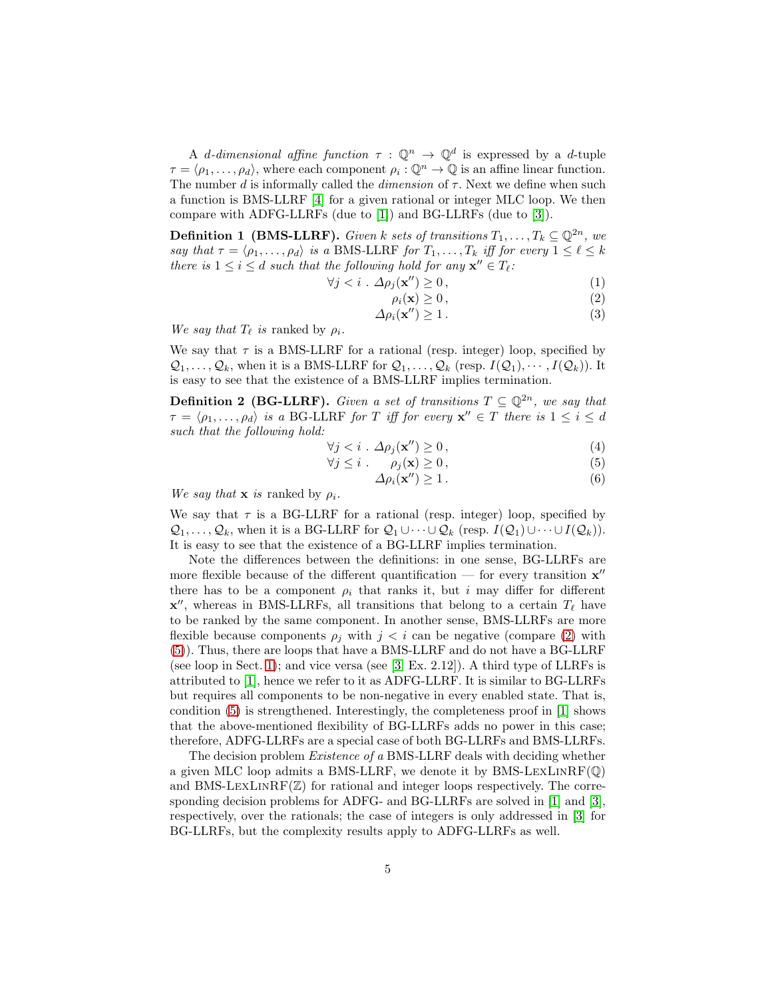A d-dimensional affine function  $\tau : \mathbb{Q}^n \to \mathbb{Q}^d$  is expressed by a d-tuple  $\tau = \langle \rho_1, \ldots, \rho_d \rangle$ , where each component  $\rho_i : \mathbb{Q}^n \to \mathbb{Q}$  is an affine linear function. The number  $d$  is informally called the *dimension* of  $\tau$ . Next we define when such a function is BMS-LLRF [\[4\]](#page-15-4) for a given rational or integer MLC loop. We then compare with ADFG-LLRFs (due to [\[1\]](#page-15-0)) and BG-LLRFs (due to [\[3\]](#page-15-3)).

**Definition 1 (BMS-LLRF).** Given k sets of transitions  $T_1, \ldots, T_k \subseteq \mathbb{Q}^{2n}$ , we say that  $\tau = \langle \rho_1, \ldots, \rho_d \rangle$  is a BMS-LLRF for  $T_1, \ldots, T_k$  iff for every  $1 \leq \ell \leq k$ there is  $1 \leq i \leq d$  such that the following hold for any  $\mathbf{x}'' \in T_{\ell}$ .

$$
\forall j < i \, \Delta \rho_j(\mathbf{x''}) \ge 0 \,, \tag{1}
$$

<span id="page-4-0"></span>
$$
\rho_i(\mathbf{x}) \ge 0\,,\tag{2}
$$

$$
\Delta \rho_i(\mathbf{x''}) \ge 1. \tag{3}
$$

We say that  $T_{\ell}$  is ranked by  $\rho_i$ .

We say that  $\tau$  is a BMS-LLRF for a rational (resp. integer) loop, specified by  $\mathcal{Q}_1, \ldots, \mathcal{Q}_k$ , when it is a BMS-LLRF for  $\mathcal{Q}_1, \ldots, \mathcal{Q}_k$  (resp.  $I(\mathcal{Q}_1), \cdots, I(\mathcal{Q}_k)$ ). It is easy to see that the existence of a BMS-LLRF implies termination.

<span id="page-4-2"></span>**Definition 2 (BG-LLRF).** Given a set of transitions  $T \subseteq \mathbb{Q}^{2n}$ , we say that  $\tau = \langle \rho_1, \ldots, \rho_d \rangle$  is a BG-LLRF for T iff for every  $\mathbf{x}'' \in T$  there is  $1 \leq i \leq d$ such that the following hold:

$$
\forall j < i \, \therefore \, \Delta \rho_j(\mathbf{x''}) \ge 0 \,, \tag{4}
$$

$$
\forall j \leq i \qquad \rho_j(\mathbf{x}) \geq 0, \tag{5}
$$

<span id="page-4-1"></span>
$$
\Delta \rho_i(\mathbf{x''}) \ge 1. \tag{6}
$$

We say that **x** is ranked by  $\rho_i$ .

We say that  $\tau$  is a BG-LLRF for a rational (resp. integer) loop, specified by  $\mathcal{Q}_1, \ldots, \mathcal{Q}_k$ , when it is a BG-LLRF for  $\mathcal{Q}_1 \cup \cdots \cup \mathcal{Q}_k$  (resp.  $I(\mathcal{Q}_1) \cup \cdots \cup I(\mathcal{Q}_k)$ ). It is easy to see that the existence of a BG-LLRF implies termination.

Note the differences between the definitions: in one sense, BG-LLRFs are more flexible because of the different quantification — for every transition  $\mathbf{x}''$ there has to be a component  $\rho_i$  that ranks it, but i may differ for different  $\mathbf{x}''$ , whereas in BMS-LLRFs, all transitions that belong to a certain  $T_{\ell}$  have to be ranked by the same component. In another sense, BMS-LLRFs are more flexible because components  $\rho_j$  with  $j < i$  can be negative (compare [\(2\)](#page-4-0) with [\(5\)](#page-4-1)). Thus, there are loops that have a BMS-LLRF and do not have a BG-LLRF (see loop in Sect. [1\)](#page-0-0); and vice versa (see [\[3,](#page-15-3) Ex. 2.12]). A third type of LLRFs is attributed to [\[1\]](#page-15-0), hence we refer to it as ADFG-LLRF. It is similar to BG-LLRFs but requires all components to be non-negative in every enabled state. That is, condition [\(5\)](#page-4-1) is strengthened. Interestingly, the completeness proof in [\[1\]](#page-15-0) shows that the above-mentioned flexibility of BG-LLRFs adds no power in this case; therefore, ADFG-LLRFs are a special case of both BG-LLRFs and BMS-LLRFs.

The decision problem Existence of a BMS-LLRF deals with deciding whether a given MLC loop admits a BMS-LLRF, we denote it by BMS-LEXLINRF $(\mathbb{Q})$ and BMS-LEXLINRF $(\mathbb{Z})$  for rational and integer loops respectively. The corresponding decision problems for ADFG- and BG-LLRFs are solved in [\[1\]](#page-15-0) and [\[3\]](#page-15-3), respectively, over the rationals; the case of integers is only addressed in [\[3\]](#page-15-3) for BG-LLRFs, but the complexity results apply to ADFG-LLRFs as well.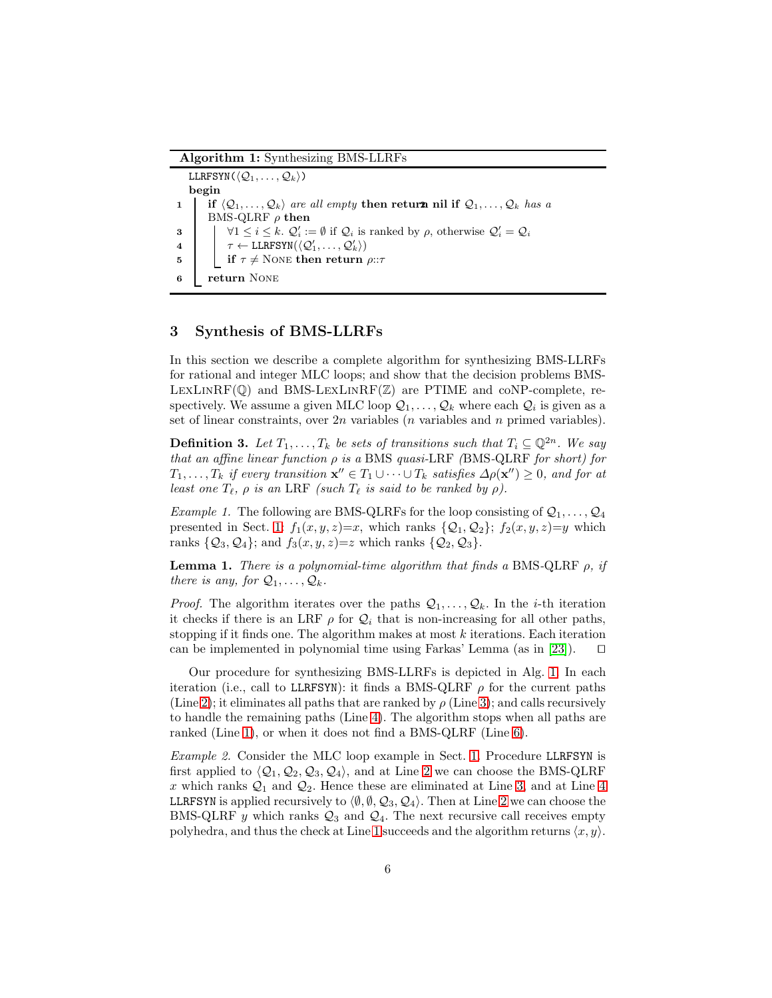<span id="page-5-0"></span>Algorithm 1: Synthesizing BMS-LLRFs

<span id="page-5-4"></span><span id="page-5-3"></span><span id="page-5-2"></span><span id="page-5-1"></span>LLRFSYN $(\langle \mathcal{Q}_1, \ldots, \mathcal{Q}_k \rangle)$ begin 1 if  $\langle Q_1, \ldots, Q_k \rangle$  are all empty then return nil if  $Q_1, \ldots, Q_k$  has a BMS-QLRF  $\rho$  then 3  $\bigcup$   $\forall 1 \leq i \leq k$ .  $\mathcal{Q}'_i := \emptyset$  if  $\mathcal{Q}_i$  is ranked by  $\rho$ , otherwise  $\mathcal{Q}'_i = \mathcal{Q}_i$  $\begin{equation*} \begin{array}{ll} \mathcal{A} & \end{array} \left| \begin{array}{ll} \tau \leftarrow \text{LLRFSYN}(\langle \mathcal{Q}'_1, \ldots, \mathcal{Q}'_k \rangle) \end{array} \right. \end{equation*}$ 5 if  $\tau \neq$  None then return  $\rho$ :: $\tau$ <sup>6</sup> return None

## <span id="page-5-5"></span>3 Synthesis of BMS-LLRFs

In this section we describe a complete algorithm for synthesizing BMS-LLRFs for rational and integer MLC loops; and show that the decision problems BMS- $LEXLINRF(Q)$  and BMS-LEXLINRF( $\mathbb{Z}$ ) are PTIME and coNP-complete, respectively. We assume a given MLC loop  $\mathcal{Q}_1,\ldots,\mathcal{Q}_k$  where each  $\mathcal{Q}_i$  is given as a set of linear constraints, over  $2n$  variables (*n* variables and *n* primed variables).

**Definition 3.** Let  $T_1, \ldots, T_k$  be sets of transitions such that  $T_i \subseteq \mathbb{Q}^{2n}$ . We say that an affine linear function  $\rho$  is a BMS quasi-LRF (BMS-QLRF for short) for  $T_1, \ldots, T_k$  if every transition  $\mathbf{x}'' \in T_1 \cup \cdots \cup T_k$  satisfies  $\Delta \rho(\mathbf{x}'' ) \geq 0$ , and for at least one  $T_{\ell}$ ,  $\rho$  is an LRF (such  $T_{\ell}$  is said to be ranked by  $\rho$ ).

<span id="page-5-7"></span>Example 1. The following are BMS-QLRFs for the loop consisting of  $Q_1, \ldots, Q_4$ presented in Sect. [1:](#page-0-0)  $f_1(x, y, z)=x$ , which ranks  $\{Q_1, Q_2\}$ ;  $f_2(x, y, z)=y$  which ranks  $\{Q_3, Q_4\}$ ; and  $f_3(x, y, z)=z$  which ranks  $\{Q_2, Q_3\}$ .

<span id="page-5-6"></span>**Lemma 1.** There is a polynomial-time algorithm that finds a BMS-QLRF  $\rho$ , if there is any, for  $Q_1, \ldots, Q_k$ .

*Proof.* The algorithm iterates over the paths  $Q_1, \ldots, Q_k$ . In the *i*-th iteration it checks if there is an LRF  $\rho$  for  $\mathcal{Q}_i$  that is non-increasing for all other paths, stopping if it finds one. The algorithm makes at most  $k$  iterations. Each iteration can be implemented in polynomial time using Farkas' Lemma (as in [\[23\]](#page-16-1)). ⊓⊔

Our procedure for synthesizing BMS-LLRFs is depicted in Alg. [1.](#page-5-0) In each iteration (i.e., call to LLRFSYN): it finds a BMS-QLRF  $\rho$  for the current paths (Line [2\)](#page-5-1); it eliminates all paths that are ranked by  $\rho$  (Line [3\)](#page-5-2); and calls recursively to handle the remaining paths (Line [4\)](#page-5-3). The algorithm stops when all paths are ranked (Line [1\)](#page-5-4), or when it does not find a BMS-QLRF (Line [6\)](#page-5-5).

Example 2. Consider the MLC loop example in Sect. [1.](#page-0-0) Procedure LLRFSYN is first applied to  $\langle \mathcal{Q}_1, \mathcal{Q}_2, \mathcal{Q}_3, \mathcal{Q}_4 \rangle$ , and at Line [2](#page-5-1) we can choose the BMS-QLRF x which ranks  $\mathcal{Q}_1$  and  $\mathcal{Q}_2$ . Hence these are eliminated at Line [3,](#page-5-2) and at Line [4](#page-5-3) LLRFSYN is applied recursively to  $\langle \emptyset, \emptyset, Q_3, Q_4 \rangle$ . Then at Line [2](#page-5-1) we can choose the BMS-QLRF y which ranks  $\mathcal{Q}_3$  and  $\mathcal{Q}_4$ . The next recursive call receives empty polyhedra, and thus the check at Line [1](#page-5-4) succeeds and the algorithm returns  $\langle x, y \rangle$ .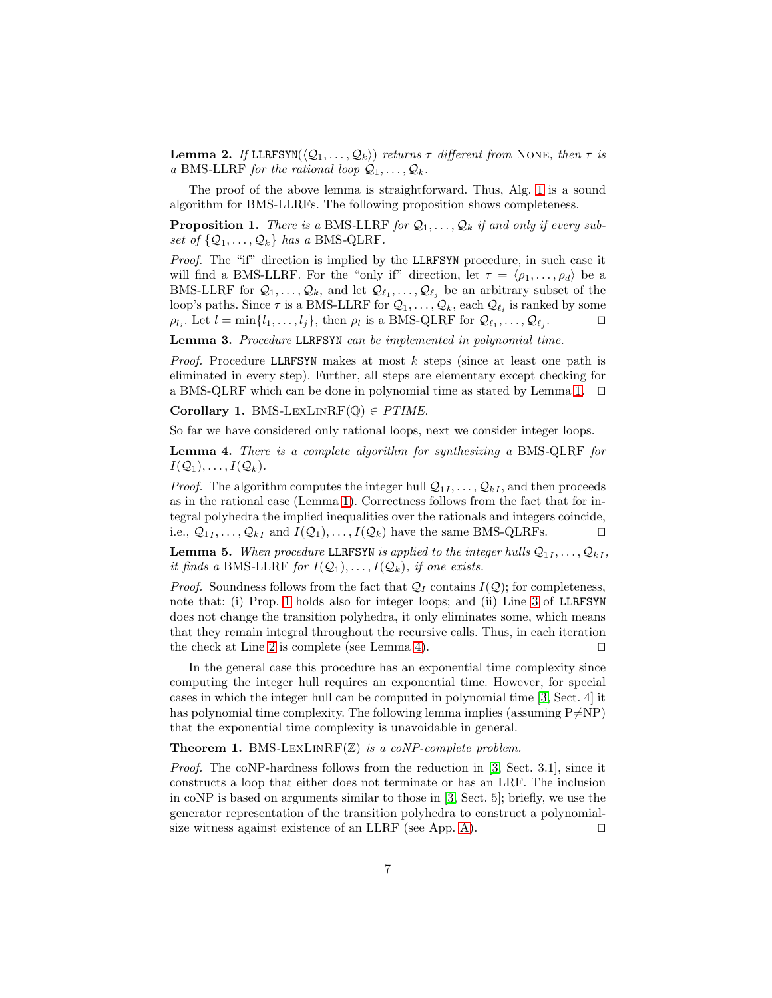**Lemma 2.** If LLRFSYN( $\langle \mathcal{Q}_1, \ldots, \mathcal{Q}_k \rangle$ ) returns  $\tau$  different from NONE, then  $\tau$  is a BMS-LLRF for the rational loop  $\mathcal{Q}_1, \ldots, \mathcal{Q}_k$ .

<span id="page-6-0"></span>The proof of the above lemma is straightforward. Thus, Alg. [1](#page-5-0) is a sound algorithm for BMS-LLRFs. The following proposition shows completeness.

**Proposition 1.** There is a BMS-LLRF for  $Q_1, \ldots, Q_k$  if and only if every subset of  $\{Q_1, \ldots, Q_k\}$  has a BMS-QLRF.

Proof. The "if" direction is implied by the LLRFSYN procedure, in such case it will find a BMS-LLRF. For the "only if" direction, let  $\tau = \langle \rho_1, \ldots, \rho_d \rangle$  be a BMS-LLRF for  $\mathcal{Q}_1, \ldots, \mathcal{Q}_k$ , and let  $\mathcal{Q}_{\ell_1}, \ldots, \mathcal{Q}_{\ell_j}$  be an arbitrary subset of the loop's paths. Since  $\tau$  is a BMS-LLRF for  $\mathcal{Q}_1, \ldots, \mathcal{Q}_k$ , each  $\mathcal{Q}_{\ell_i}$  is ranked by some  $\rho_{l_i}$ . Let  $l = \min\{l_1, \ldots, l_j\}$ , then  $\rho_l$  is a BMS-QLRF for  $\mathcal{Q}_{\ell_1}, \ldots, \mathcal{Q}_{\ell_j}$ . ⊓⊔

Lemma 3. Procedure LLRFSYN can be implemented in polynomial time.

*Proof.* Procedure LLRFSYN makes at most  $k$  steps (since at least one path is eliminated in every step). Further, all steps are elementary except checking for a BMS-QLRF which can be done in polynomial time as stated by Lemma [1.](#page-5-6) ⊓⊔

Corollary 1. BMS-LEXLINRF( $\mathbb{Q}$ )  $\in$  PTIME.

<span id="page-6-1"></span>So far we have considered only rational loops, next we consider integer loops.

Lemma 4. There is a complete algorithm for synthesizing a BMS-QLRF for  $I(\mathcal{Q}_1), \ldots, I(\mathcal{Q}_k).$ 

*Proof.* The algorithm computes the integer hull  $\mathcal{Q}_{1I}, \ldots, \mathcal{Q}_{kI}$ , and then proceeds as in the rational case (Lemma [1\)](#page-5-6). Correctness follows from the fact that for integral polyhedra the implied inequalities over the rationals and integers coincide, i.e.,  $\mathcal{Q}_{1I}, \ldots, \mathcal{Q}_{kI}$  and  $I(\mathcal{Q}_1), \ldots, I(\mathcal{Q}_k)$  have the same BMS-QLRFs.  $\Box$ 

**Lemma 5.** When procedure LLRFSYN is applied to the integer hulls  $Q_{1I}, \ldots, Q_{kI}$ , it finds a BMS-LLRF for  $I(\mathcal{Q}_1), \ldots, I(\mathcal{Q}_k)$ , if one exists.

*Proof.* Soundness follows from the fact that  $Q_I$  contains  $I(Q)$ ; for completeness, note that: (i) Prop. [1](#page-6-0) holds also for integer loops; and (ii) Line [3](#page-5-2) of LLRFSYN does not change the transition polyhedra, it only eliminates some, which means that they remain integral throughout the recursive calls. Thus, in each iteration the check at Line [2](#page-5-1) is complete (see Lemma [4\)](#page-6-1). ⊓⊔

In the general case this procedure has an exponential time complexity since computing the integer hull requires an exponential time. However, for special cases in which the integer hull can be computed in polynomial time [\[3,](#page-15-3) Sect. 4] it has polynomial time complexity. The following lemma implies (assuming  $P\neq NP$ ) that the exponential time complexity is unavoidable in general.

**Theorem 1.** BMS-LEXLINRF( $\mathbb{Z}$ ) is a coNP-complete problem.

Proof. The coNP-hardness follows from the reduction in [\[3,](#page-15-3) Sect. 3.1], since it constructs a loop that either does not terminate or has an LRF. The inclusion in coNP is based on arguments similar to those in [\[3,](#page-15-3) Sect. 5]; briefly, we use the generator representation of the transition polyhedra to construct a polynomial-size witness against existence of an LLRF (see App. [A\)](#page-17-0). □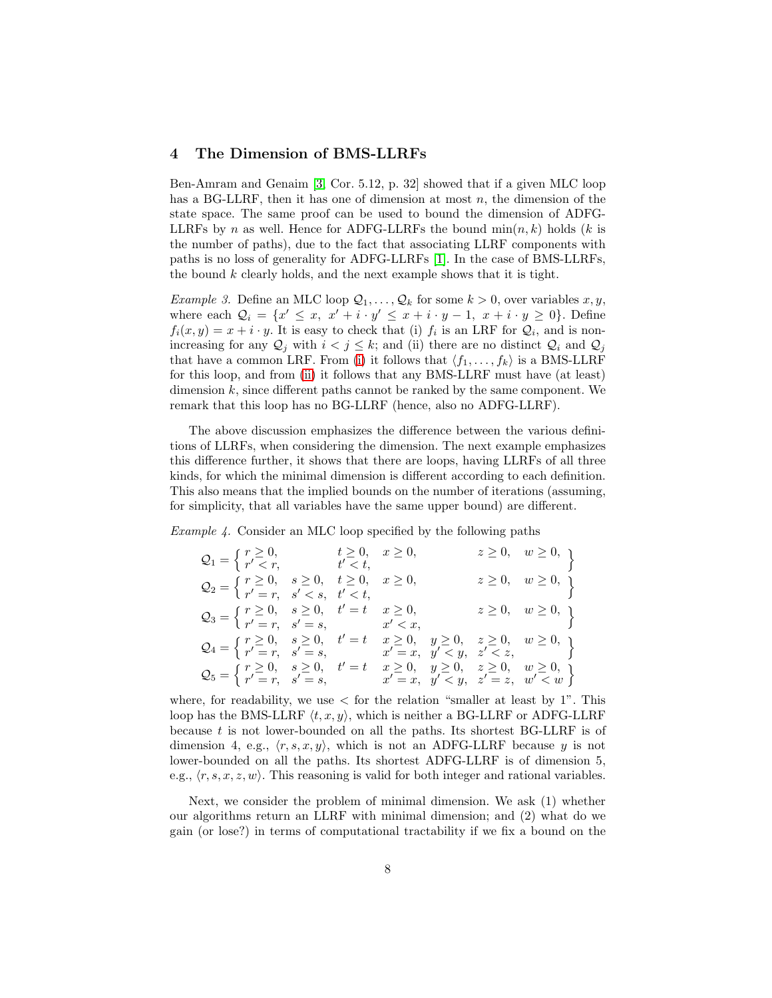#### <span id="page-7-0"></span>4 The Dimension of BMS-LLRFs

Ben-Amram and Genaim [\[3,](#page-15-3) Cor. 5.12, p. 32] showed that if a given MLC loop has a BG-LLRF, then it has one of dimension at most  $n$ , the dimension of the state space. The same proof can be used to bound the dimension of ADFG-LLRFs by n as well. Hence for ADFG-LLRFs the bound  $min(n, k)$  holds (k is the number of paths), due to the fact that associating LLRF components with paths is no loss of generality for ADFG-LLRFs [\[1\]](#page-15-0). In the case of BMS-LLRFs, the bound  $k$  clearly holds, and the next example shows that it is tight.

<span id="page-7-3"></span><span id="page-7-2"></span><span id="page-7-1"></span>*Example 3.* Define an MLC loop  $\mathcal{Q}_1, \ldots, \mathcal{Q}_k$  for some  $k > 0$ , over variables x, y, where each  $\mathcal{Q}_i = \{x' \leq x, x' + i \cdot y' \leq x + i \cdot y - 1, x + i \cdot y \geq 0\}.$  Define  $f_i(x,y) = x + i \cdot y$ . It is easy to check that (i)  $f_i$  is an LRF for  $\mathcal{Q}_i$ , and is nonincreasing for any  $Q_j$  with  $i < j \leq k$ ; and (ii) there are no distinct  $Q_i$  and  $Q_j$ that have a common LRF. From [\(i\)](#page-7-1) it follows that  $\langle f_1, \ldots, f_k \rangle$  is a BMS-LLRF for this loop, and from [\(ii\)](#page-7-2) it follows that any BMS-LLRF must have (at least) dimension  $k$ , since different paths cannot be ranked by the same component. We remark that this loop has no BG-LLRF (hence, also no ADFG-LLRF).

The above discussion emphasizes the difference between the various definitions of LLRFs, when considering the dimension. The next example emphasizes this difference further, it shows that there are loops, having LLRFs of all three kinds, for which the minimal dimension is different according to each definition. This also means that the implied bounds on the number of iterations (assuming, for simplicity, that all variables have the same upper bound) are different.

Example 4. Consider an MLC loop specified by the following paths

$$
Q_1 = \left\{ \begin{array}{ll} r \geq 0, & t \geq 0, & x \geq 0, & z \geq 0, & w \geq 0, \\ r' < r, & t' < t, & z \geq 0, & w \geq 0, \\ r' = r, & s' < s, & t' < t, & z \geq 0, & w \geq 0, \\ r' = r, & s' < s, & t' < t, & z \geq 0, & w \geq 0, \\ r' = r, & s' = s, & x' < x, & z \geq 0, & w \geq 0, \\ r' = r, & s' = s, & x' < x, & y \geq 0, & z \geq 0, & w \geq 0, \\ r' = r, & s' = s, & x' = x, & y' < y, & z' < z, \\ Q_5 = \left\{ \begin{array}{ll} r \geq 0, & s \geq 0, & t' = t & x \geq 0, & y \geq 0, & z \geq 0, & w \geq 0, \\ r' = r, & s' = s, & x' = x, & y' < y, & z' = z, & w' < w \end{array} \right\}
$$

where, for readability, we use  $\lt$  for the relation "smaller at least by 1". This loop has the BMS-LLRF  $\langle t, x, y \rangle$ , which is neither a BG-LLRF or ADFG-LLRF because  $t$  is not lower-bounded on all the paths. Its shortest BG-LLRF is of dimension 4, e.g.,  $\langle r, s, x, y \rangle$ , which is not an ADFG-LLRF because y is not lower-bounded on all the paths. Its shortest ADFG-LLRF is of dimension 5, e.g.,  $\langle r, s, x, z, w \rangle$ . This reasoning is valid for both integer and rational variables.

Next, we consider the problem of minimal dimension. We ask (1) whether our algorithms return an LLRF with minimal dimension; and (2) what do we gain (or lose?) in terms of computational tractability if we fix a bound on the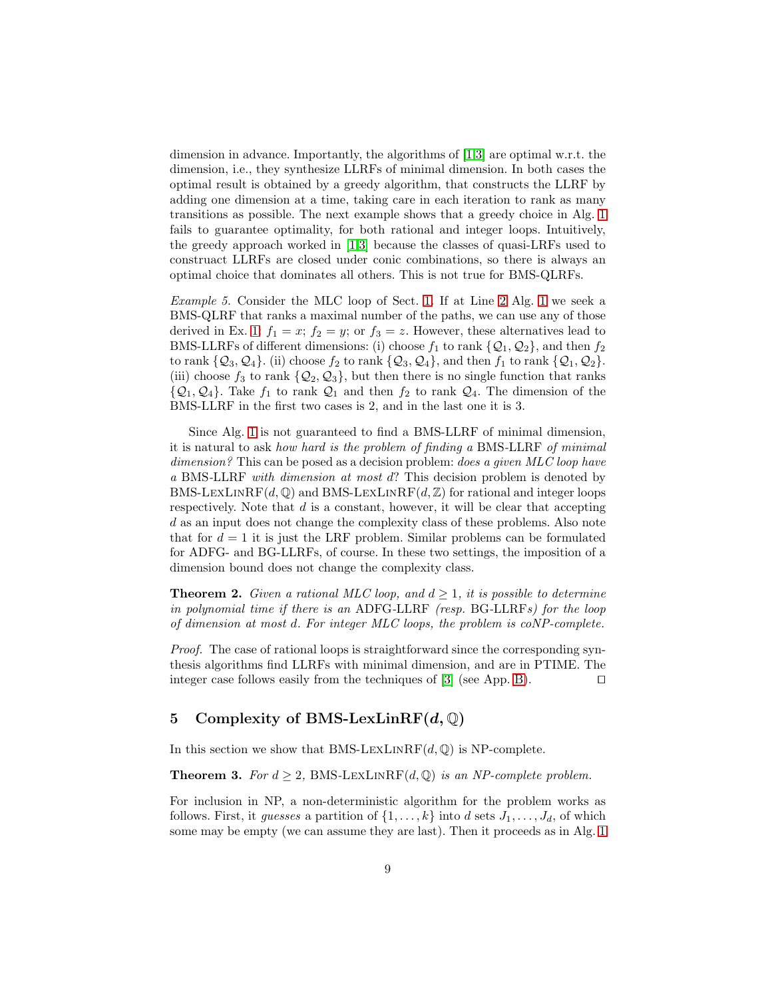dimension in advance. Importantly, the algorithms of [\[1,](#page-15-0)[3\]](#page-15-3) are optimal w.r.t. the dimension, i.e., they synthesize LLRFs of minimal dimension. In both cases the optimal result is obtained by a greedy algorithm, that constructs the LLRF by adding one dimension at a time, taking care in each iteration to rank as many transitions as possible. The next example shows that a greedy choice in Alg. [1](#page-5-0) fails to guarantee optimality, for both rational and integer loops. Intuitively, the greedy approach worked in [\[1,](#page-15-0)[3\]](#page-15-3) because the classes of quasi-LRFs used to construact LLRFs are closed under conic combinations, so there is always an optimal choice that dominates all others. This is not true for BMS-QLRFs.

Example 5. Consider the MLC loop of Sect. [1.](#page-0-0) If at Line [2](#page-5-1) Alg. [1](#page-5-0) we seek a BMS-QLRF that ranks a maximal number of the paths, we can use any of those derived in Ex. [1:](#page-5-7)  $f_1 = x$ ;  $f_2 = y$ ; or  $f_3 = z$ . However, these alternatives lead to BMS-LLRFs of different dimensions: (i) choose  $f_1$  to rank  $\{Q_1, Q_2\}$ , and then  $f_2$ to rank  $\{Q_3, Q_4\}$ . (ii) choose  $f_2$  to rank  $\{Q_3, Q_4\}$ , and then  $f_1$  to rank  $\{Q_1, Q_2\}$ . (iii) choose  $f_3$  to rank  $\{Q_2, Q_3\}$ , but then there is no single function that ranks  $\{Q_1, Q_4\}$ . Take  $f_1$  to rank  $Q_1$  and then  $f_2$  to rank  $Q_4$ . The dimension of the BMS-LLRF in the first two cases is 2, and in the last one it is 3.

Since Alg. [1](#page-5-0) is not guaranteed to find a BMS-LLRF of minimal dimension, it is natural to ask how hard is the problem of finding a BMS-LLRF of minimal dimension? This can be posed as a decision problem: *does a given MLC loop have* a BMS-LLRF with dimension at most d? This decision problem is denoted by BMS-LEXLINRF( $d$ ,  $\mathbb{Q}$ ) and BMS-LEXLINRF( $d$ ,  $\mathbb{Z}$ ) for rational and integer loops respectively. Note that  $d$  is a constant, however, it will be clear that accepting d as an input does not change the complexity class of these problems. Also note that for  $d = 1$  it is just the LRF problem. Similar problems can be formulated for ADFG- and BG-LLRFs, of course. In these two settings, the imposition of a dimension bound does not change the complexity class.

**Theorem 2.** Given a rational MLC loop, and  $d \geq 1$ , it is possible to determine in polynomial time if there is an ADFG-LLRF (resp. BG-LLRFs) for the loop of dimension at most d. For integer MLC loops, the problem is coNP-complete.

Proof. The case of rational loops is straightforward since the corresponding synthesis algorithms find LLRFs with minimal dimension, and are in PTIME. The integer case follows easily from the techniques of [\[3\]](#page-15-3) (see App. [B\)](#page-20-0). ⊓⊔

## 5 Complexity of BMS-LexLin $RF(d, \mathbb{Q})$

<span id="page-8-0"></span>In this section we show that BMS-LEXLINRF( $d$ , $\mathbb{Q}$ ) is NP-complete.

**Theorem 3.** For  $d \geq 2$ , BMS-LEXLINRF(d, Q) is an NP-complete problem.

For inclusion in NP, a non-deterministic algorithm for the problem works as follows. First, it guesses a partition of  $\{1, \ldots, k\}$  into d sets  $J_1, \ldots, J_d$ , of which some may be empty (we can assume they are last). Then it proceeds as in Alg. [1](#page-5-0)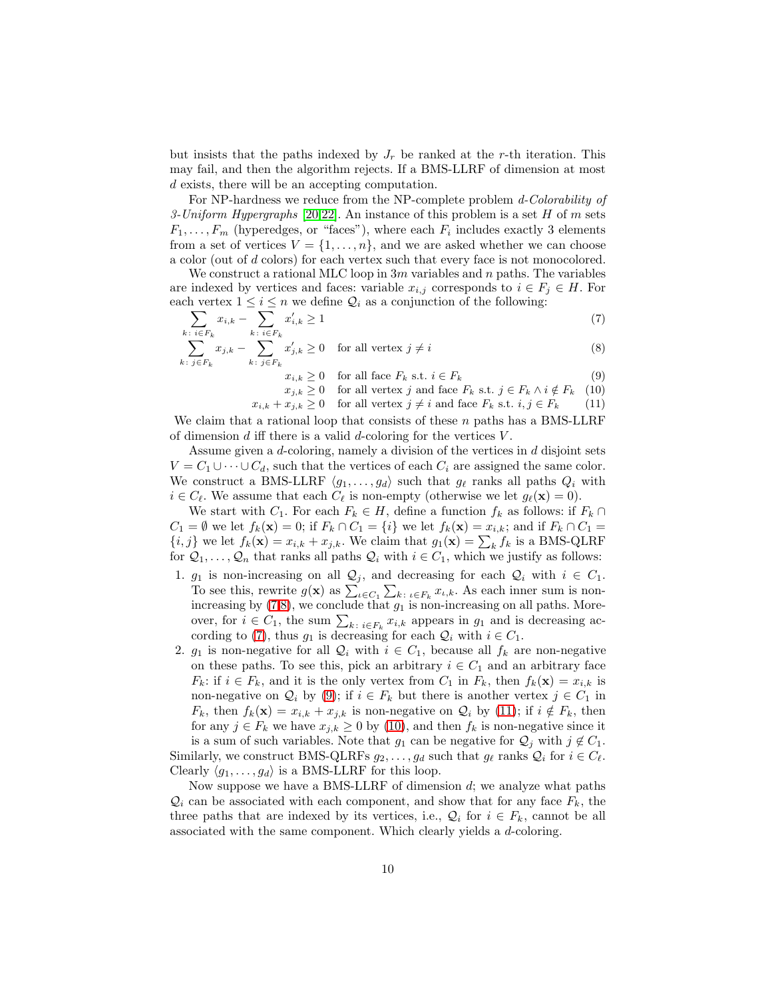but insists that the paths indexed by  $J_r$  be ranked at the r-th iteration. This may fail, and then the algorithm rejects. If a BMS-LLRF of dimension at most d exists, there will be an accepting computation.

For NP-hardness we reduce from the NP-complete problem d-Colorability of 3-Uniform Hypergraphs [\[20,](#page-16-5)[22\]](#page-16-6). An instance of this problem is a set H of m sets  $F_1, \ldots, F_m$  (hyperedges, or "faces"), where each  $F_i$  includes exactly 3 elements from a set of vertices  $V = \{1, \ldots, n\}$ , and we are asked whether we can choose a color (out of d colors) for each vertex such that every face is not monocolored.

We construct a rational MLC loop in  $3m$  variables and n paths. The variables are indexed by vertices and faces: variable  $x_{i,j}$  corresponds to  $i \in F_j \in H$ . For each vertex  $1 \leq i \leq n$  we define  $\mathcal{Q}_i$  as a conjunction of the following:

$$
\sum_{k \, : \, i \in F_k} x_{i,k} - \sum_{k \, : \, i \in F_k} x'_{i,k} \ge 1 \tag{7}
$$

$$
\sum_{k \colon j \in F_k} x_{j,k} - \sum_{k \colon j \in F_k} x'_{j,k} \ge 0 \quad \text{for all vertex } j \ne i \tag{8}
$$

<span id="page-9-4"></span><span id="page-9-3"></span><span id="page-9-2"></span><span id="page-9-1"></span><span id="page-9-0"></span> $x_{i,k} \geq 0$  for all face  $F_k$  s.t.  $i \in F_k$  (9)

 $x_{j,k} \geq 0$  for all vertex j and face  $F_k$  s.t.  $j \in F_k \land i \notin F_k$  (10)

 $x_{i,k} + x_{j,k} \geq 0$  for all vertex  $j \neq i$  and face  $F_k$  s.t.  $i, j \in F_k$  (11)

We claim that a rational loop that consists of these  $n$  paths has a BMS-LLRF of dimension  $d$  iff there is a valid  $d$ -coloring for the vertices  $V$ .

Assume given a d-coloring, namely a division of the vertices in d disjoint sets  $V = C_1 \cup \cdots \cup C_d$ , such that the vertices of each  $C_i$  are assigned the same color. We construct a BMS-LLRF  $\langle q_1, \ldots, q_d \rangle$  such that  $q_\ell$  ranks all paths  $Q_i$  with  $i \in C_{\ell}$ . We assume that each  $C_{\ell}$  is non-empty (otherwise we let  $g_{\ell}(\mathbf{x}) = 0$ ).

We start with  $C_1$ . For each  $F_k \in H$ , define a function  $f_k$  as follows: if  $F_k \cap$  $C_1 = \emptyset$  we let  $f_k(\mathbf{x}) = 0$ ; if  $F_k \cap C_1 = \{i\}$  we let  $f_k(\mathbf{x}) = x_{i,k}$ ; and if  $F_k \cap C_1 =$  $\{i, j\}$  we let  $f_k(\mathbf{x}) = x_{i,k} + x_{j,k}$ . We claim that  $g_1(\mathbf{x}) = \sum_k f_k$  is a BMS-QLRF for  $Q_1, \ldots, Q_n$  that ranks all paths  $Q_i$  with  $i \in C_1$ , which we justify as follows:

- 1.  $g_1$  is non-increasing on all  $\mathcal{Q}_j$ , and decreasing for each  $\mathcal{Q}_i$  with  $i \in C_1$ . To see this, rewrite  $g(\mathbf{x})$  as  $\sum_{\iota \in C_1} \sum_{k:\iota \in F_k} x_{\iota,k}$ . As each inner sum is nonincreasing by  $(7,8)$  $(7,8)$ , we conclude that  $g_1$  is non-increasing on all paths. Moreover, for  $i \in C_1$ , the sum  $\sum_{k \colon i \in F_k} x_{i,k}$  appears in  $g_1$  and is decreasing ac-cording to [\(7\)](#page-9-0), thus  $g_1$  is decreasing for each  $\mathcal{Q}_i$  with  $i \in C_1$ .
- 2.  $g_1$  is non-negative for all  $\mathcal{Q}_i$  with  $i \in C_1$ , because all  $f_k$  are non-negative on these paths. To see this, pick an arbitrary  $i \in C_1$  and an arbitrary face  $F_k$ : if  $i \in F_k$ , and it is the only vertex from  $C_1$  in  $F_k$ , then  $f_k(\mathbf{x}) = x_{i,k}$  is non-negative on  $\mathcal{Q}_i$  by [\(9\)](#page-9-2); if  $i \in F_k$  but there is another vertex  $j \in C_1$  in  $F_k$ , then  $f_k(\mathbf{x}) = x_{i,k} + x_{j,k}$  is non-negative on  $\mathcal{Q}_i$  by [\(11\)](#page-9-3); if  $i \notin F_k$ , then for any  $j \in F_k$  we have  $x_{j,k} \geq 0$  by [\(10\)](#page-9-4), and then  $f_k$  is non-negative since it is a sum of such variables. Note that  $g_1$  can be negative for  $\mathcal{Q}_j$  with  $j \notin C_1$ . Similarly, we construct BMS-QLRFs  $g_2, \ldots, g_d$  such that  $g_\ell$  ranks  $\mathcal{Q}_i$  for  $i \in C_\ell$ .

Clearly  $\langle q_1, \ldots, q_d \rangle$  is a BMS-LLRF for this loop. Now suppose we have a BMS-LLRF of dimension  $d$ ; we analyze what paths  $\mathcal{Q}_i$  can be associated with each component, and show that for any face  $F_k$ , the three paths that are indexed by its vertices, i.e.,  $\mathcal{Q}_i$  for  $i \in F_k$ , cannot be all

associated with the same component. Which clearly yields a d-coloring.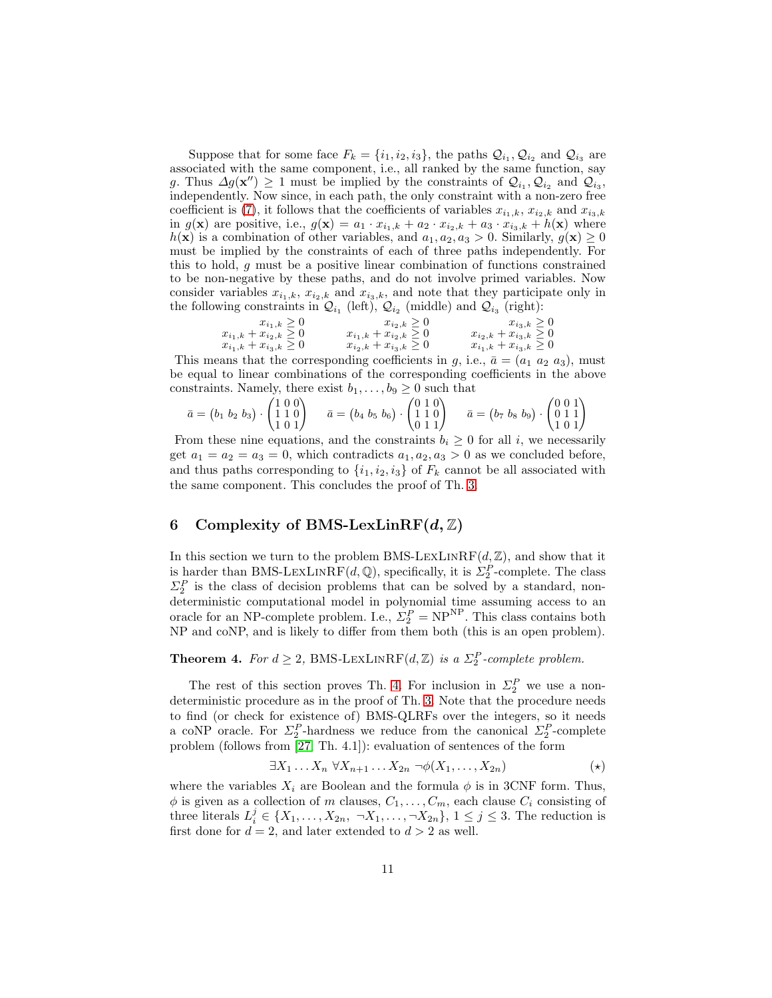Suppose that for some face  $F_k = \{i_1, i_2, i_3\}$ , the paths  $\mathcal{Q}_{i_1}, \mathcal{Q}_{i_2}$  and  $\mathcal{Q}_{i_3}$  are associated with the same component, i.e., all ranked by the same function, say g. Thus  $\Delta g(\mathbf{x}'') \geq 1$  must be implied by the constraints of  $\mathcal{Q}_{i_1}, \mathcal{Q}_{i_2}$  and  $\mathcal{Q}_{i_3}$ , independently. Now since, in each path, the only constraint with a non-zero free coefficient is [\(7\)](#page-9-0), it follows that the coefficients of variables  $x_{i_1,k}, x_{i_2,k}$  and  $x_{i_3,k}$ in  $g(\mathbf{x})$  are positive, i.e.,  $g(\mathbf{x}) = a_1 \cdot x_{i_1,k} + a_2 \cdot x_{i_2,k} + a_3 \cdot x_{i_3,k} + h(\mathbf{x})$  where  $h(\mathbf{x})$  is a combination of other variables, and  $a_1, a_2, a_3 > 0$ . Similarly,  $g(\mathbf{x}) \ge 0$ must be implied by the constraints of each of three paths independently. For this to hold, g must be a positive linear combination of functions constrained to be non-negative by these paths, and do not involve primed variables. Now consider variables  $x_{i_1,k}$ ,  $x_{i_2,k}$  and  $x_{i_3,k}$ , and note that they participate only in the following constraints in  $\mathcal{Q}_{i_1}$  (left),  $\mathcal{Q}_{i_2}$  (middle) and  $\mathcal{Q}_{i_3}$  (right):

$$
x_{i_1,k} + x_{i_2,k} \ge 0
$$
  
\n
$$
x_{i_1,k} + x_{i_2,k} \ge 0
$$
  
\n
$$
x_{i_1,k} + x_{i_2,k} \ge 0
$$
  
\n
$$
x_{i_1,k} + x_{i_3,k} \ge 0
$$
  
\n
$$
x_{i_2,k} + x_{i_3,k} \ge 0
$$
  
\n
$$
x_{i_2,k} + x_{i_3,k} \ge 0
$$
  
\n
$$
x_{i_1,k} + x_{i_3,k} \ge 0
$$

This means that the corresponding coefficients in g, i.e.,  $\bar{a} = (a_1 \ a_2 \ a_3)$ , must be equal to linear combinations of the corresponding coefficients in the above constraints. Namely, there exist  $b_1, \ldots, b_9 \geq 0$  such that

$$
\bar{a} = (b_1 \ b_2 \ b_3) \cdot \begin{pmatrix} 1 & 0 & 0 \\ 1 & 1 & 0 \\ 1 & 0 & 1 \end{pmatrix} \qquad \bar{a} = (b_4 \ b_5 \ b_6) \cdot \begin{pmatrix} 0 & 1 & 0 \\ 1 & 1 & 0 \\ 0 & 1 & 1 \end{pmatrix} \qquad \bar{a} = (b_7 \ b_8 \ b_9) \cdot \begin{pmatrix} 0 & 0 & 1 \\ 0 & 1 & 1 \\ 1 & 0 & 1 \end{pmatrix}
$$

From these nine equations, and the constraints  $b_i \geq 0$  for all i, we necessarily get  $a_1 = a_2 = a_3 = 0$ , which contradicts  $a_1, a_2, a_3 > 0$  as we concluded before, and thus paths corresponding to  $\{i_1, i_2, i_3\}$  of  $F_k$  cannot be all associated with the same component. This concludes the proof of Th. [3.](#page-8-0)

## 6 Complexity of BMS-LexLin $RF(d, \mathbb{Z})$

In this section we turn to the problem BMS-LEXLINRF( $d, \mathbb{Z}$ ), and show that it is harder than BMS-LEXLINRF(d, Q), specifically, it is  $\Sigma_2^P$ -complete. The class  $\Sigma_2^P$  is the class of decision problems that can be solved by a standard, nondeterministic computational model in polynomial time assuming access to an oracle for an NP-complete problem. I.e.,  $\Sigma_2^P = NP^{NP}$ . This class contains both NP and coNP, and is likely to differ from them both (this is an open problem).

## <span id="page-10-0"></span>**Theorem 4.** For  $d \geq 2$ , BMS-LEXLINRF( $d, \mathbb{Z}$ ) is a  $\Sigma_2^P$ -complete problem.

The rest of this section proves Th. [4.](#page-10-0) For inclusion in  $\Sigma_2^P$  we use a nondeterministic procedure as in the proof of Th. [3.](#page-8-0) Note that the procedure needs to find (or check for existence of) BMS-QLRFs over the integers, so it needs a coNP oracle. For  $\Sigma_2^P$ -hardness we reduce from the canonical  $\Sigma_2^P$ -complete problem (follows from [\[27,](#page-16-7) Th. 4.1]): evaluation of sentences of the form

$$
\exists X_1 \dots X_n \ \forall X_{n+1} \dots X_{2n} \ \neg \phi(X_1, \dots, X_{2n}) \tag{\star}
$$

where the variables  $X_i$  are Boolean and the formula  $\phi$  is in 3CNF form. Thus,  $\phi$  is given as a collection of m clauses,  $C_1, \ldots, C_m$ , each clause  $C_i$  consisting of three literals  $L_i^j \in \{X_1, \ldots, X_{2n}, \neg X_1, \ldots, \neg X_{2n}\}, 1 \leq j \leq 3$ . The reduction is first done for  $d = 2$ , and later extended to  $d > 2$  as well.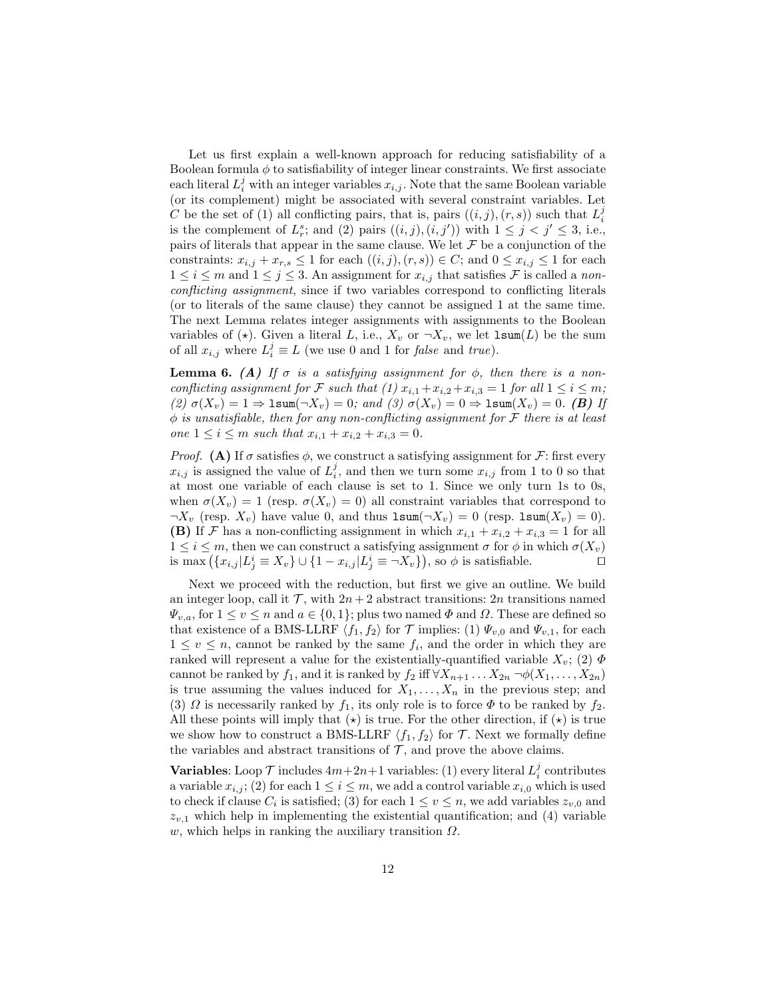Let us first explain a well-known approach for reducing satisfiability of a Boolean formula  $\phi$  to satisfiability of integer linear constraints. We first associate each literal  $L_i^j$  with an integer variables  $x_{i,j}$ . Note that the same Boolean variable (or its complement) might be associated with several constraint variables. Let C be the set of (1) all conflicting pairs, that is, pairs  $((i, j), (r, s))$  such that  $L_i^j$ is the complement of  $L_r^s$ ; and (2) pairs  $((i, j), (i, j'))$  with  $1 \leq j < j' \leq 3$ , i.e., pairs of literals that appear in the same clause. We let  $\mathcal F$  be a conjunction of the constraints:  $x_{i,j} + x_{r,s} \leq 1$  for each  $((i,j),(r,s)) \in C$ ; and  $0 \leq x_{i,j} \leq 1$  for each  $1 \leq i \leq m$  and  $1 \leq j \leq 3$ . An assignment for  $x_{i,j}$  that satisfies F is called a nonconflicting assignment, since if two variables correspond to conflicting literals (or to literals of the same clause) they cannot be assigned 1 at the same time. The next Lemma relates integer assignments with assignments to the Boolean variables of ( $\star$ ). Given a literal L, i.e.,  $X_v$  or  $\neg X_v$ , we let  $\texttt{lsum}(L)$  be the sum of all  $x_{i,j}$  where  $L_i^j \equiv L$  (we use 0 and 1 for *false* and *true*).

<span id="page-11-0"></span>**Lemma 6.** (A) If  $\sigma$  is a satisfying assignment for  $\phi$ , then there is a nonconflicting assignment for F such that (1)  $x_{i,1} + x_{i,2} + x_{i,3} = 1$  for all  $1 \le i \le m$ ; (2)  $\sigma(X_v) = 1 \Rightarrow \text{lsum}(\neg X_v) = 0$ ; and (3)  $\sigma(X_v) = 0 \Rightarrow \text{lsum}(X_v) = 0$ . (B) If  $\phi$  is unsatisfiable, then for any non-conflicting assignment for  $\mathcal F$  there is at least one  $1 \leq i \leq m$  such that  $x_{i,1} + x_{i,2} + x_{i,3} = 0$ .

*Proof.* (A) If  $\sigma$  satisfies  $\phi$ , we construct a satisfying assignment for  $\mathcal{F}$ : first every  $x_{i,j}$  is assigned the value of  $L_i^j$ , and then we turn some  $x_{i,j}$  from 1 to 0 so that at most one variable of each clause is set to 1. Since we only turn 1s to 0s, when  $\sigma(X_v) = 1$  (resp.  $\sigma(X_v) = 0$ ) all constraint variables that correspond to  $\neg X_v$  (resp.  $X_v$ ) have value 0, and thus  $\text{lsum}(\neg X_v) = 0$  (resp.  $\text{lsum}(X_v) = 0$ ). (B) If F has a non-conflicting assignment in which  $x_{i,1} + x_{i,2} + x_{i,3} = 1$  for all  $1 \leq i \leq m$ , then we can construct a satisfying assignment  $\sigma$  for  $\phi$  in which  $\sigma(X_v)$ is max  $(\{x_{i,j} | L_j^i \equiv X_v\} \cup \{1 - x_{i,j} | L_j^i \equiv \neg X_v\})$ , so  $\phi$  is satisfiable.

Next we proceed with the reduction, but first we give an outline. We build an integer loop, call it  $\mathcal{T}$ , with  $2n + 2$  abstract transitions: 2n transitions named  $\Psi_{v,a}$ , for  $1 \le v \le n$  and  $a \in \{0,1\}$ ; plus two named  $\Phi$  and  $\Omega$ . These are defined so that existence of a BMS-LLRF  $\langle f_1, f_2 \rangle$  for T implies: (1)  $\Psi_{v,0}$  and  $\Psi_{v,1}$ , for each  $1 \leq v \leq n$ , cannot be ranked by the same  $f_i$ , and the order in which they are ranked will represent a value for the existentially-quantified variable  $X_v$ ; (2)  $\Phi$ cannot be ranked by  $f_1$ , and it is ranked by  $f_2$  iff  $\forall X_{n+1} \dots X_{2n} \neg \phi(X_1, \dots, X_{2n})$ is true assuming the values induced for  $X_1, \ldots, X_n$  in the previous step; and (3)  $\Omega$  is necessarily ranked by  $f_1$ , its only role is to force  $\Phi$  to be ranked by  $f_2$ . All these points will imply that  $(\star)$  is true. For the other direction, if  $(\star)$  is true we show how to construct a BMS-LLRF  $\langle f_1, f_2 \rangle$  for T. Next we formally define the variables and abstract transitions of  $\mathcal{T}$ , and prove the above claims.

**Variables:** Loop  $\mathcal T$  includes  $4m+2n+1$  variables: (1) every literal  $L_i^j$  contributes a variable  $x_{i,j}$ ; (2) for each  $1 \leq i \leq m$ , we add a control variable  $x_{i,0}$  which is used to check if clause  $C_i$  is satisfied; (3) for each  $1 \le v \le n$ , we add variables  $z_{v,0}$  and  $z_{v,1}$  which help in implementing the existential quantification; and (4) variable w, which helps in ranking the auxiliary transition  $\Omega$ .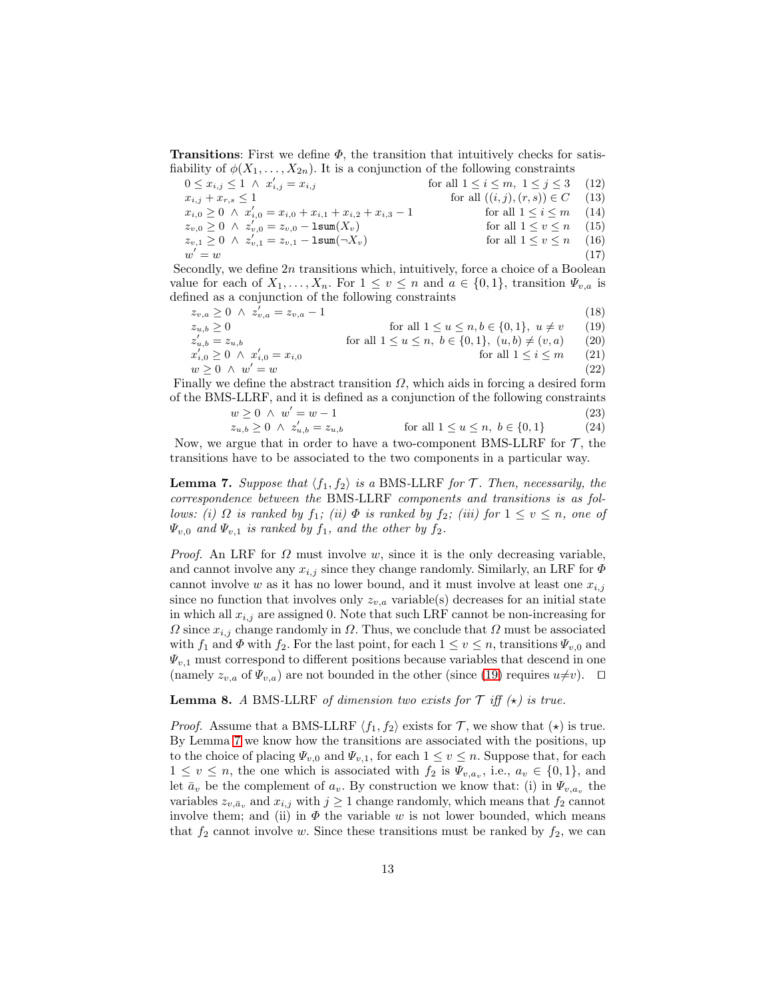**Transitions:** First we define  $\Phi$ , the transition that intuitively checks for satisfiability of  $\phi(X_1, \ldots, X_{2n})$ . It is a conjunction of the following constraints

<span id="page-12-6"></span><span id="page-12-5"></span><span id="page-12-2"></span> $0 \leq x_{i,j} \leq 1 \ \land \ x_i'$ for all  $1 \le i \le m, 1 \le j \le 3$  (12)  $x_{i,j} + x_{r,s} \le 1$  for all  $((i, j), (r, s)) \in C$  (13)  $x_{i,0} \geq 0 \ \land \ x'_{i,0} = x_{i,0} + x_{i,1} + x_{i,2} + x_{i,3} - 1$  for all  $1 \leq i \leq m$  (14)  $z_{v,0} \ge 0 \;\wedge\; z'_{v,0} = z_{v,0} - \text{lsum}(X_v)$  for all  $1 \le v \le n$  (15)  $z_{v,1} \ge 0 \;\wedge\; z'_{v,1} = z_{v,1} - \text{lsum}(\neg X_v)$  for all  $1 \le v \le n$  (16) w  $y' = w$  (17)

Secondly, we define  $2n$  transitions which, intuitively, force a choice of a Boolean value for each of  $X_1, \ldots, X_n$ . For  $1 \le v \le n$  and  $a \in \{0,1\}$ , transition  $\Psi_{v,a}$  is defined as a conjunction of the following constraints

| $z_{v,a} \geq 0 \ \wedge \ z'_{v,a} = z_{v,a} - 1$ |                                                         | (18)      |
|----------------------------------------------------|---------------------------------------------------------|-----------|
| $z_{u,b} > 0$                                      | for all $1 \le u \le n, b \in \{0, 1\}, u \ne v$        | (19)      |
| $z'_{u,b} = z_{u,b}$                               | for all $1 \le u \le n, b \in \{0,1\}, (u,b) \ne (v,a)$ | (20)      |
| $x'_{i,0} \geq 0 \ \wedge \ x'_{i,0} = x_{i,0}$    | for all $1 \leq i \leq m$                               | (21)      |
| $w > 0 \land w' = w$                               |                                                         | $^{'}22)$ |

Finally we define the abstract transition  $\Omega$ , which aids in forcing a desired form of the BMS-LLRF, and it is defined as a conjunction of the following constraints

<span id="page-12-4"></span><span id="page-12-3"></span><span id="page-12-0"></span>
$$
w \ge 0 \ \land \ w' = w - 1
$$
  
\n
$$
z_{u,b} \ge 0 \ \land \ z'_{u,b} = z_{u,b}
$$
 for all  $1 \le u \le n, b \in \{0, 1\}$  (23)  
\n(24)

<span id="page-12-1"></span>Now, we argue that in order to have a two-component BMS-LLRF for  $\mathcal{T}$ , the transitions have to be associated to the two components in a particular way.

**Lemma 7.** Suppose that  $\langle f_1, f_2 \rangle$  is a BMS-LLRF for T. Then, necessarily, the correspondence between the BMS-LLRF components and transitions is as follows: (i)  $\Omega$  is ranked by  $f_1$ ; (ii)  $\Phi$  is ranked by  $f_2$ ; (iii) for  $1 \le v \le n$ , one of  $\Psi_{v,0}$  and  $\Psi_{v,1}$  is ranked by  $f_1$ , and the other by  $f_2$ .

*Proof.* An LRF for  $\Omega$  must involve w, since it is the only decreasing variable, and cannot involve any  $x_{i,j}$  since they change randomly. Similarly, an LRF for  $\Phi$ cannot involve w as it has no lower bound, and it must involve at least one  $x_{i,j}$ since no function that involves only  $z_{v,a}$  variable(s) decreases for an initial state in which all  $x_{i,j}$  are assigned 0. Note that such LRF cannot be non-increasing for  $\Omega$  since  $x_{i,j}$  change randomly in  $\Omega$ . Thus, we conclude that  $\Omega$  must be associated with  $f_1$  and  $\Phi$  with  $f_2$ . For the last point, for each  $1 \le v \le n$ , transitions  $\Psi_{v,0}$  and  $\Psi_{v,1}$  must correspond to different positions because variables that descend in one (namely  $z_{v,a}$  of  $\Psi_{v,a}$ ) are not bounded in the other (since [\(19\)](#page-12-0) requires  $u\neq v$ ). □

<span id="page-12-7"></span>**Lemma 8.** A BMS-LLRF of dimension two exists for  $\mathcal{T}$  iff  $(\star)$  is true.

*Proof.* Assume that a BMS-LLRF  $\langle f_1, f_2 \rangle$  exists for T, we show that  $(\star)$  is true. By Lemma [7](#page-12-1) we know how the transitions are associated with the positions, up to the choice of placing  $\Psi_{v,0}$  and  $\Psi_{v,1}$ , for each  $1 \le v \le n$ . Suppose that, for each  $1 \leq v \leq n$ , the one which is associated with  $f_2$  is  $\Psi_{v,a_v}$ , i.e.,  $a_v \in \{0,1\}$ , and let  $\bar{a}_v$  be the complement of  $a_v$ . By construction we know that: (i) in  $\Psi_{v,a_v}$  the variables  $z_{v,\bar{a}_v}$  and  $x_{i,j}$  with  $j \ge 1$  change randomly, which means that  $f_2$  cannot involve them; and (ii) in  $\Phi$  the variable w is not lower bounded, which means that  $f_2$  cannot involve w. Since these transitions must be ranked by  $f_2$ , we can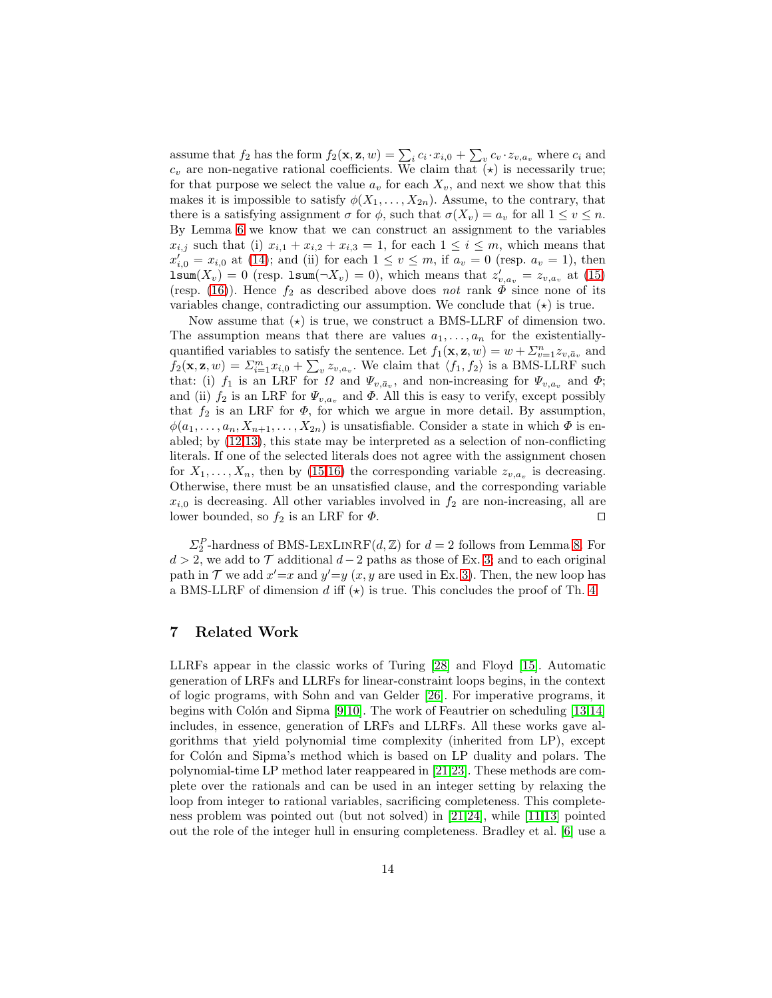assume that  $f_2$  has the form  $f_2(\mathbf{x}, \mathbf{z}, w) = \sum_i c_i \cdot x_{i,0} + \sum_v c_v \cdot z_{v,a_v}$  where  $c_i$  and  $c_v$  are non-negative rational coefficients. We claim that  $(\star)$  is necessarily true; for that purpose we select the value  $a_v$  for each  $X_v$ , and next we show that this makes it is impossible to satisfy  $\phi(X_1, \ldots, X_{2n})$ . Assume, to the contrary, that there is a satisfying assignment  $\sigma$  for  $\phi$ , such that  $\sigma(X_v) = a_v$  for all  $1 \le v \le n$ . By Lemma [6](#page-11-0) we know that we can construct an assignment to the variables  $x_{i,j}$  such that (i)  $x_{i,1} + x_{i,2} + x_{i,3} = 1$ , for each  $1 \leq i \leq m$ , which means that  $x'_{i,0} = x_{i,0}$  at [\(14\)](#page-12-2); and (ii) for each  $1 \le v \le m$ , if  $a_v = 0$  (resp.  $a_v = 1$ ), then  $\text{Isum}(X_v) = 0$  (resp.  $\text{Isum}(\neg X_v) = 0$ ), which means that  $z'_{v,a_v} = z_{v,a_v}$  at [\(15\)](#page-12-3) (resp. [\(16\)](#page-12-4)). Hence  $f_2$  as described above does not rank  $\Phi$  since none of its variables change, contradicting our assumption. We conclude that  $(\star)$  is true.

Now assume that  $(\star)$  is true, we construct a BMS-LLRF of dimension two. The assumption means that there are values  $a_1, \ldots, a_n$  for the existentiallyquantified variables to satisfy the sentence. Let  $f_1(\mathbf{x}, \mathbf{z}, w) = w + \sum_{v=1}^n z_{v, \bar{a}_v}$  and  $f_2(\mathbf{x}, \mathbf{z}, w) = \sum_{i=1}^m x_{i,0} + \sum_{v} z_{v,a_v}$ . We claim that  $\langle f_1, f_2 \rangle$  is a BMS-LLRF such that: (i)  $f_1$  is an LRF for  $\Omega$  and  $\Psi_{v,\bar{a}_v}$ , and non-increasing for  $\Psi_{v,a_v}$  and  $\Phi$ ; and (ii)  $f_2$  is an LRF for  $\Psi_{v,a_v}$  and  $\Phi$ . All this is easy to verify, except possibly that  $f_2$  is an LRF for  $\Phi$ , for which we argue in more detail. By assumption,  $\phi(a_1, \ldots, a_n, X_{n+1}, \ldots, X_{2n})$  is unsatisfiable. Consider a state in which  $\Phi$  is enabled; by [\(12,](#page-12-5)[13\)](#page-12-6), this state may be interpreted as a selection of non-conflicting literals. If one of the selected literals does not agree with the assignment chosen for  $X_1, \ldots, X_n$ , then by [\(15](#page-12-3)[,16\)](#page-12-4) the corresponding variable  $z_{v,a_v}$  is decreasing. Otherwise, there must be an unsatisfied clause, and the corresponding variable  $x_{i,0}$  is decreasing. All other variables involved in  $f_2$  are non-increasing, all are lower bounded, so  $f_2$  is an LRF for  $\Phi$ . □

 $\Sigma_2^P$ -hardness of BMS-LEXLINRF(d, Z) for  $d=2$  follows from Lemma [8.](#page-12-7) For  $d > 2$ , we add to  $\mathcal T$  additional  $d-2$  paths as those of Ex. [3;](#page-7-3) and to each original path in  $\mathcal T$  we add  $x' = x$  and  $y' = y$   $(x, y)$  are used in Ex. 3. Then, the new loop has a BMS-LLRF of dimension d iff  $(\star)$  is true. This concludes the proof of Th. [4.](#page-10-0)

## 7 Related Work

LLRFs appear in the classic works of Turing [\[28\]](#page-16-3) and Floyd [\[15\]](#page-15-6). Automatic generation of LRFs and LLRFs for linear-constraint loops begins, in the context of logic programs, with Sohn and van Gelder [\[26\]](#page-16-2). For imperative programs, it begins with Colón and Sipma  $[9,10]$  $[9,10]$ . The work of Feautrier on scheduling  $[13,14]$  $[13,14]$ includes, in essence, generation of LRFs and LLRFs. All these works gave algorithms that yield polynomial time complexity (inherited from LP), except for Colón and Sipma's method which is based on LP duality and polars. The polynomial-time LP method later reappeared in [\[21,](#page-16-0)[23\]](#page-16-1). These methods are complete over the rationals and can be used in an integer setting by relaxing the loop from integer to rational variables, sacrificing completeness. This completeness problem was pointed out (but not solved) in [\[21,](#page-16-0)[24\]](#page-16-8), while [\[11,](#page-15-8)[13\]](#page-15-2) pointed out the role of the integer hull in ensuring completeness. Bradley et al. [\[6\]](#page-15-9) use a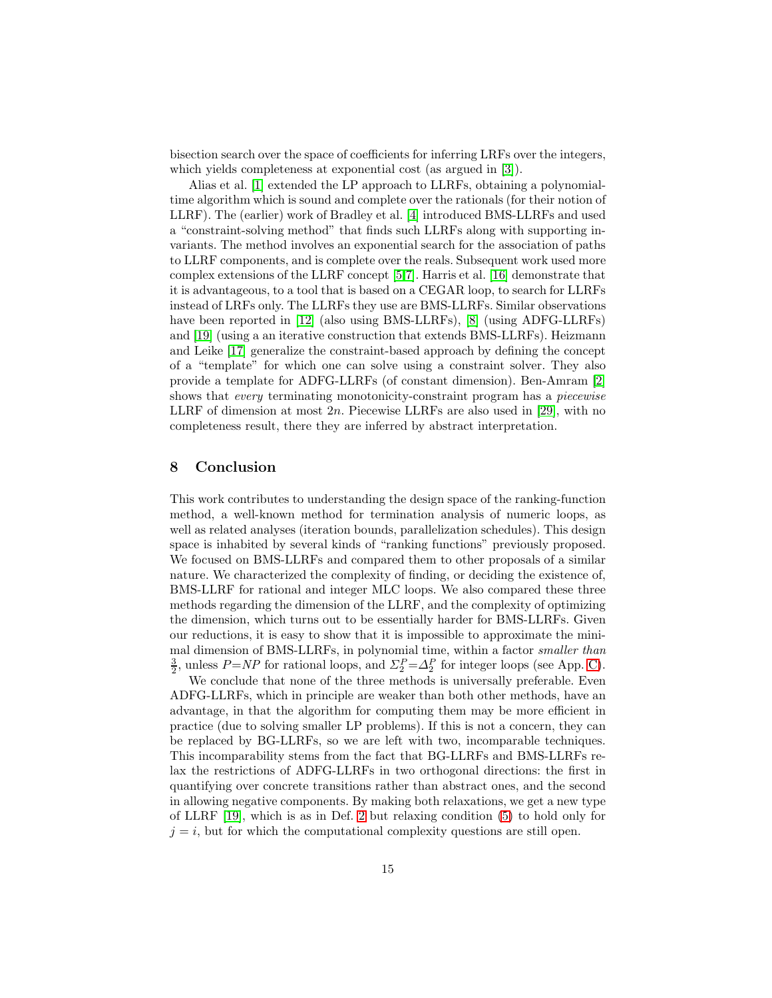bisection search over the space of coefficients for inferring LRFs over the integers, which yields completeness at exponential cost (as argued in [\[3\]](#page-15-3)).

Alias et al. [\[1\]](#page-15-0) extended the LP approach to LLRFs, obtaining a polynomialtime algorithm which is sound and complete over the rationals (for their notion of LLRF). The (earlier) work of Bradley et al. [\[4\]](#page-15-4) introduced BMS-LLRFs and used a "constraint-solving method" that finds such LLRFs along with supporting invariants. The method involves an exponential search for the association of paths to LLRF components, and is complete over the reals. Subsequent work used more complex extensions of the LLRF concept [\[5,](#page-15-10)[7\]](#page-15-11). Harris et al. [\[16\]](#page-16-9) demonstrate that it is advantageous, to a tool that is based on a CEGAR loop, to search for LLRFs instead of LRFs only. The LLRFs they use are BMS-LLRFs. Similar observations have been reported in [\[12\]](#page-15-12) (also using BMS-LLRFs), [\[8\]](#page-15-13) (using ADFG-LLRFs) and [\[19\]](#page-16-10) (using a an iterative construction that extends BMS-LLRFs). Heizmann and Leike [\[17\]](#page-16-11) generalize the constraint-based approach by defining the concept of a "template" for which one can solve using a constraint solver. They also provide a template for ADFG-LLRFs (of constant dimension). Ben-Amram [\[2\]](#page-15-14) shows that *every* terminating monotonicity-constraint program has a *piecewise* LLRF of dimension at most  $2n$ . Piecewise LLRFs are also used in [\[29\]](#page-16-12), with no completeness result, there they are inferred by abstract interpretation.

#### 8 Conclusion

This work contributes to understanding the design space of the ranking-function method, a well-known method for termination analysis of numeric loops, as well as related analyses (iteration bounds, parallelization schedules). This design space is inhabited by several kinds of "ranking functions" previously proposed. We focused on BMS-LLRFs and compared them to other proposals of a similar nature. We characterized the complexity of finding, or deciding the existence of, BMS-LLRF for rational and integer MLC loops. We also compared these three methods regarding the dimension of the LLRF, and the complexity of optimizing the dimension, which turns out to be essentially harder for BMS-LLRFs. Given our reductions, it is easy to show that it is impossible to approximate the minimal dimension of BMS-LLRFs, in polynomial time, within a factor smaller than  $\frac{3}{2}$ , unless  $P=NP$  for rational loops, and  $\Sigma_2^P=\Delta_2^P$  for integer loops (see App. [C\)](#page-23-0).

We conclude that none of the three methods is universally preferable. Even ADFG-LLRFs, which in principle are weaker than both other methods, have an advantage, in that the algorithm for computing them may be more efficient in practice (due to solving smaller LP problems). If this is not a concern, they can be replaced by BG-LLRFs, so we are left with two, incomparable techniques. This incomparability stems from the fact that BG-LLRFs and BMS-LLRFs relax the restrictions of ADFG-LLRFs in two orthogonal directions: the first in quantifying over concrete transitions rather than abstract ones, and the second in allowing negative components. By making both relaxations, we get a new type of LLRF [\[19\]](#page-16-10), which is as in Def. [2](#page-4-2) but relaxing condition [\(5\)](#page-4-1) to hold only for  $j = i$ , but for which the computational complexity questions are still open.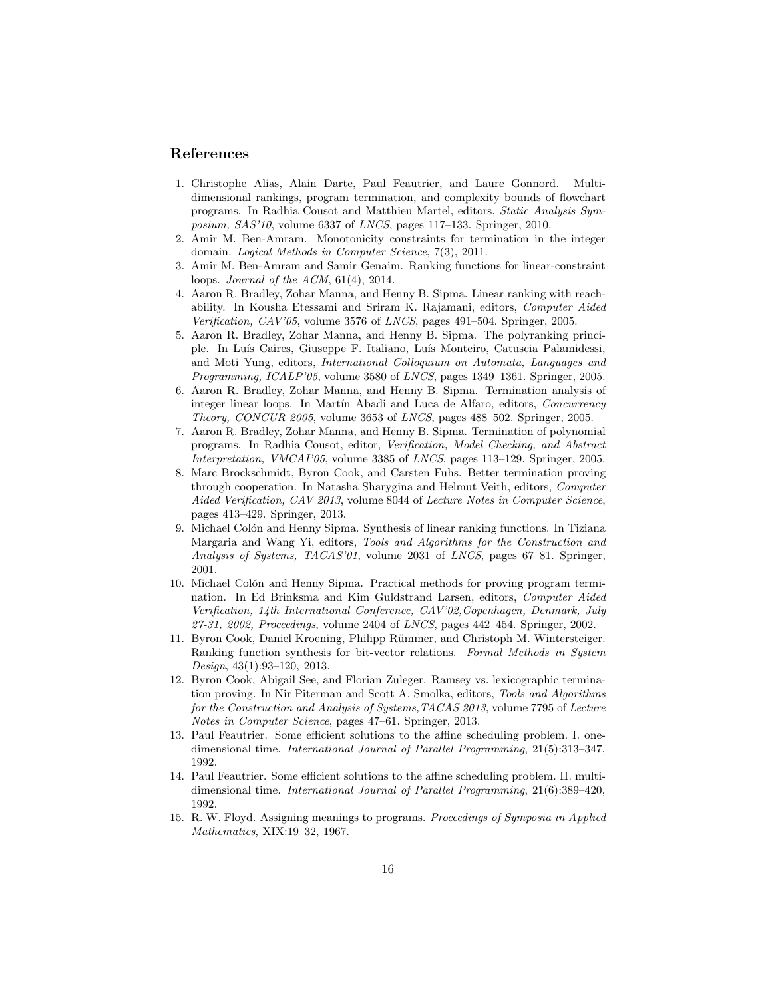#### <span id="page-15-0"></span>References

- 1. Christophe Alias, Alain Darte, Paul Feautrier, and Laure Gonnord. Multidimensional rankings, program termination, and complexity bounds of flowchart programs. In Radhia Cousot and Matthieu Martel, editors, Static Analysis Sym*posium, SAS'10, volume 6337 of LNCS, pages 117–133. Springer, 2010.*
- <span id="page-15-14"></span>2. Amir M. Ben-Amram. Monotonicity constraints for termination in the integer domain. Logical Methods in Computer Science, 7(3), 2011.
- <span id="page-15-3"></span>3. Amir M. Ben-Amram and Samir Genaim. Ranking functions for linear-constraint loops. Journal of the ACM, 61(4), 2014.
- <span id="page-15-4"></span>4. Aaron R. Bradley, Zohar Manna, and Henny B. Sipma. Linear ranking with reachability. In Kousha Etessami and Sriram K. Rajamani, editors, Computer Aided Verification, CAV'05, volume 3576 of LNCS, pages 491–504. Springer, 2005.
- <span id="page-15-10"></span>5. Aaron R. Bradley, Zohar Manna, and Henny B. Sipma. The polyranking principle. In Luís Caires, Giuseppe F. Italiano, Luís Monteiro, Catuscia Palamidessi, and Moti Yung, editors, International Colloquium on Automata, Languages and Programming, ICALP'05, volume 3580 of LNCS, pages 1349–1361. Springer, 2005.
- <span id="page-15-9"></span>6. Aaron R. Bradley, Zohar Manna, and Henny B. Sipma. Termination analysis of integer linear loops. In Martín Abadi and Luca de Alfaro, editors, *Concurrency* Theory, CONCUR 2005, volume 3653 of LNCS, pages 488–502. Springer, 2005.
- <span id="page-15-11"></span>7. Aaron R. Bradley, Zohar Manna, and Henny B. Sipma. Termination of polynomial programs. In Radhia Cousot, editor, Verification, Model Checking, and Abstract Interpretation, VMCAI'05, volume 3385 of LNCS, pages 113–129. Springer, 2005.
- <span id="page-15-13"></span>8. Marc Brockschmidt, Byron Cook, and Carsten Fuhs. Better termination proving through cooperation. In Natasha Sharygina and Helmut Veith, editors, Computer Aided Verification, CAV 2013, volume 8044 of Lecture Notes in Computer Science, pages 413–429. Springer, 2013.
- <span id="page-15-1"></span>9. Michael Colón and Henny Sipma. Synthesis of linear ranking functions. In Tiziana Margaria and Wang Yi, editors, Tools and Algorithms for the Construction and Analysis of Systems, TACAS'01, volume 2031 of LNCS, pages 67–81. Springer, 2001.
- <span id="page-15-7"></span>10. Michael Colón and Henny Sipma. Practical methods for proving program termination. In Ed Brinksma and Kim Guldstrand Larsen, editors, Computer Aided Verification, 14th International Conference, CAV'02,Copenhagen, Denmark, July 27-31, 2002, Proceedings, volume 2404 of LNCS, pages 442–454. Springer, 2002.
- <span id="page-15-8"></span>11. Byron Cook, Daniel Kroening, Philipp R¨ummer, and Christoph M. Wintersteiger. Ranking function synthesis for bit-vector relations. Formal Methods in System Design, 43(1):93–120, 2013.
- <span id="page-15-12"></span>12. Byron Cook, Abigail See, and Florian Zuleger. Ramsey vs. lexicographic termination proving. In Nir Piterman and Scott A. Smolka, editors, Tools and Algorithms for the Construction and Analysis of Systems,TACAS 2013, volume 7795 of Lecture Notes in Computer Science, pages 47–61. Springer, 2013.
- <span id="page-15-2"></span>13. Paul Feautrier. Some efficient solutions to the affine scheduling problem. I. onedimensional time. International Journal of Parallel Programming, 21(5):313–347, 1992.
- <span id="page-15-5"></span>14. Paul Feautrier. Some efficient solutions to the affine scheduling problem. II. multidimensional time. International Journal of Parallel Programming, 21(6):389–420, 1992.
- <span id="page-15-6"></span>15. R. W. Floyd. Assigning meanings to programs. Proceedings of Symposia in Applied Mathematics, XIX:19–32, 1967.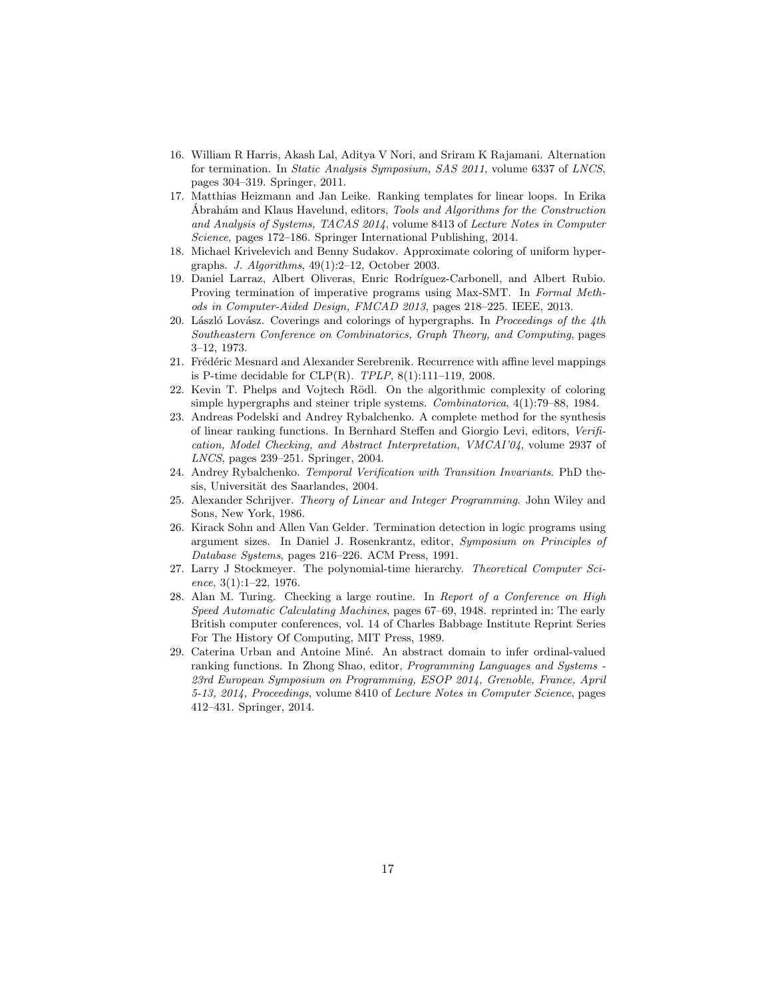- <span id="page-16-9"></span>16. William R Harris, Akash Lal, Aditya V Nori, and Sriram K Rajamani. Alternation for termination. In Static Analysis Symposium, SAS 2011, volume 6337 of LNCS, pages 304–319. Springer, 2011.
- <span id="page-16-11"></span>17. Matthias Heizmann and Jan Leike. Ranking templates for linear loops. In Erika Abrahám and Klaus Havelund, editors, *Tools and Algorithms for the Construction* and Analysis of Systems, TACAS 2014, volume 8413 of Lecture Notes in Computer Science, pages 172–186. Springer International Publishing, 2014.
- <span id="page-16-13"></span><span id="page-16-10"></span>18. Michael Krivelevich and Benny Sudakov. Approximate coloring of uniform hypergraphs. J. Algorithms, 49(1):2–12, October 2003.
- 19. Daniel Larraz, Albert Oliveras, Enric Rodríguez-Carbonell, and Albert Rubio. Proving termination of imperative programs using Max-SMT. In Formal Methods in Computer-Aided Design, FMCAD 2013, pages 218–225. IEEE, 2013.
- <span id="page-16-5"></span>20. László Lovász. Coverings and colorings of hypergraphs. In Proceedings of the  $4th$ Southeastern Conference on Combinatorics, Graph Theory, and Computing, pages 3–12, 1973.
- <span id="page-16-0"></span>21. Frédéric Mesnard and Alexander Serebrenik. Recurrence with affine level mappings is P-time decidable for CLP(R).  $TPLP$ ,  $8(1):111-119$ , 2008.
- <span id="page-16-6"></span>22. Kevin T. Phelps and Vojtech Rödl. On the algorithmic complexity of coloring simple hypergraphs and steiner triple systems. Combinatorica, 4(1):79–88, 1984.
- <span id="page-16-1"></span>23. Andreas Podelski and Andrey Rybalchenko. A complete method for the synthesis of linear ranking functions. In Bernhard Steffen and Giorgio Levi, editors, Verification, Model Checking, and Abstract Interpretation, VMCAI'04, volume 2937 of LNCS, pages 239–251. Springer, 2004.
- <span id="page-16-8"></span>24. Andrey Rybalchenko. Temporal Verification with Transition Invariants. PhD thesis, Universität des Saarlandes, 2004.
- <span id="page-16-4"></span>25. Alexander Schrijver. Theory of Linear and Integer Programming. John Wiley and Sons, New York, 1986.
- <span id="page-16-2"></span>26. Kirack Sohn and Allen Van Gelder. Termination detection in logic programs using argument sizes. In Daniel J. Rosenkrantz, editor, Symposium on Principles of Database Systems, pages 216–226. ACM Press, 1991.
- <span id="page-16-7"></span>27. Larry J Stockmeyer. The polynomial-time hierarchy. Theoretical Computer Science, 3(1):1–22, 1976.
- <span id="page-16-3"></span>28. Alan M. Turing. Checking a large routine. In Report of a Conference on High Speed Automatic Calculating Machines, pages 67–69, 1948. reprinted in: The early British computer conferences, vol. 14 of Charles Babbage Institute Reprint Series For The History Of Computing, MIT Press, 1989.
- <span id="page-16-12"></span>29. Caterina Urban and Antoine Miné. An abstract domain to infer ordinal-valued ranking functions. In Zhong Shao, editor, Programming Languages and Systems - 23rd European Symposium on Programming, ESOP 2014, Grenoble, France, April 5-13, 2014, Proceedings, volume 8410 of Lecture Notes in Computer Science, pages 412–431. Springer, 2014.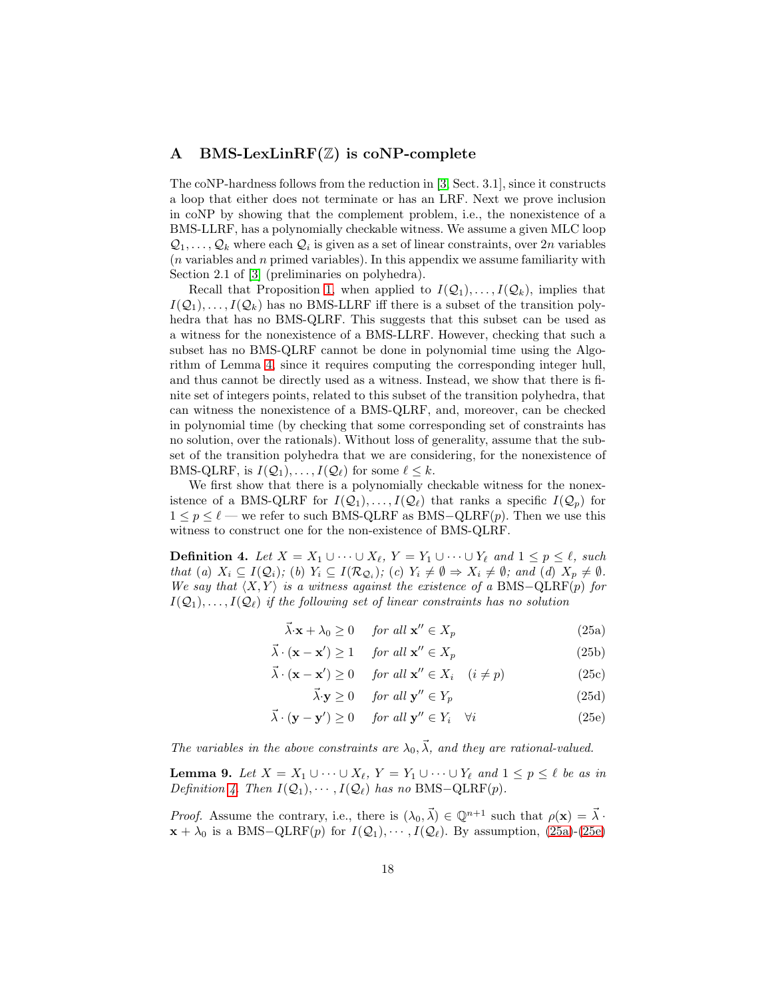## <span id="page-17-0"></span>A BMS-LexLinRF $(\mathbb{Z})$  is coNP-complete

The coNP-hardness follows from the reduction in [\[3,](#page-15-3) Sect. 3.1], since it constructs a loop that either does not terminate or has an LRF. Next we prove inclusion in coNP by showing that the complement problem, i.e., the nonexistence of a BMS-LLRF, has a polynomially checkable witness. We assume a given MLC loop  $\mathcal{Q}_1, \ldots, \mathcal{Q}_k$  where each  $\mathcal{Q}_i$  is given as a set of linear constraints, over  $2n$  variables  $(n \text{ variables and } n \text{ primes}$  variables). In this appendix we assume familiarity with Section 2.1 of [\[3\]](#page-15-3) (preliminaries on polyhedra).

Recall that Proposition [1,](#page-6-0) when applied to  $I(\mathcal{Q}_1), \ldots, I(\mathcal{Q}_k)$ , implies that  $I(\mathcal{Q}_1), \ldots, I(\mathcal{Q}_k)$  has no BMS-LLRF iff there is a subset of the transition polyhedra that has no BMS-QLRF. This suggests that this subset can be used as a witness for the nonexistence of a BMS-LLRF. However, checking that such a subset has no BMS-QLRF cannot be done in polynomial time using the Algorithm of Lemma [4,](#page-6-1) since it requires computing the corresponding integer hull, and thus cannot be directly used as a witness. Instead, we show that there is finite set of integers points, related to this subset of the transition polyhedra, that can witness the nonexistence of a BMS-QLRF, and, moreover, can be checked in polynomial time (by checking that some corresponding set of constraints has no solution, over the rationals). Without loss of generality, assume that the subset of the transition polyhedra that we are considering, for the nonexistence of BMS-QLRF, is  $I(\mathcal{Q}_1), \ldots, I(\mathcal{Q}_\ell)$  for some  $\ell \leq k$ .

We first show that there is a polynomially checkable witness for the nonexistence of a BMS-QLRF for  $I(Q_1), \ldots, I(Q_\ell)$  that ranks a specific  $I(Q_p)$  for  $1 \leq p \leq \ell$  — we refer to such BMS-QLRF as BMS-QLRF(p). Then we use this witness to construct one for the non-existence of BMS-QLRF.

<span id="page-17-1"></span>**Definition 4.** Let  $X = X_1 \cup \cdots \cup X_\ell$ ,  $Y = Y_1 \cup \cdots \cup Y_\ell$  and  $1 \leq p \leq \ell$ , such that (a)  $X_i \subseteq I(Q_i)$ ; (b)  $Y_i \subseteq I(\mathcal{R}_{Q_i})$ ; (c)  $Y_i \neq \emptyset \Rightarrow X_i \neq \emptyset$ ; and (d)  $X_p \neq \emptyset$ . We say that  $\langle X, Y \rangle$  is a witness against the existence of a BMS-QLRF(p) for  $I(Q_1), \ldots, I(Q_\ell)$  if the following set of linear constraints has no solution

$$
\vec{\lambda} \cdot \mathbf{x} + \lambda_0 \ge 0 \quad \text{for all } \mathbf{x}'' \in X_p \tag{25a}
$$

$$
\vec{\lambda} \cdot (\mathbf{x} - \mathbf{x}') \ge 1 \quad \text{for all } \mathbf{x}'' \in X_p \tag{25b}
$$

$$
\vec{\lambda} \cdot (\mathbf{x} - \mathbf{x}') \ge 0 \quad \text{for all } \mathbf{x}'' \in X_i \quad (i \ne p) \tag{25c}
$$

<span id="page-17-6"></span><span id="page-17-5"></span><span id="page-17-4"></span><span id="page-17-3"></span><span id="page-17-2"></span>
$$
\vec{\lambda} \cdot \mathbf{y} \ge 0 \quad \text{for all } \mathbf{y}'' \in Y_p \tag{25d}
$$

$$
\vec{\lambda} \cdot (\mathbf{y} - \mathbf{y}') \ge 0 \quad \text{for all } \mathbf{y}'' \in Y_i \quad \forall i \tag{25e}
$$

The variables in the above constraints are  $\lambda_0$ ,  $\vec{\lambda}$ , and they are rational-valued.

<span id="page-17-7"></span>**Lemma 9.** Let  $X = X_1 \cup \cdots \cup X_\ell$ ,  $Y = Y_1 \cup \cdots \cup Y_\ell$  and  $1 \leq p \leq \ell$  be as in Definition [4.](#page-17-1) Then  $I(\mathcal{Q}_1), \cdots, I(\mathcal{Q}_\ell)$  has no BMS-QLRF(p).

*Proof.* Assume the contrary, i.e., there is  $(\lambda_0, \vec{\lambda}) \in \mathbb{Q}^{n+1}$  such that  $\rho(\mathbf{x}) = \vec{\lambda}$ .  $\mathbf{x} + \lambda_0$  is a BMS-QLRF(p) for  $I(\mathcal{Q}_1), \cdots, I(\mathcal{Q}_\ell)$ . By assumption, [\(25a\)](#page-17-2)-[\(25e\)](#page-17-3)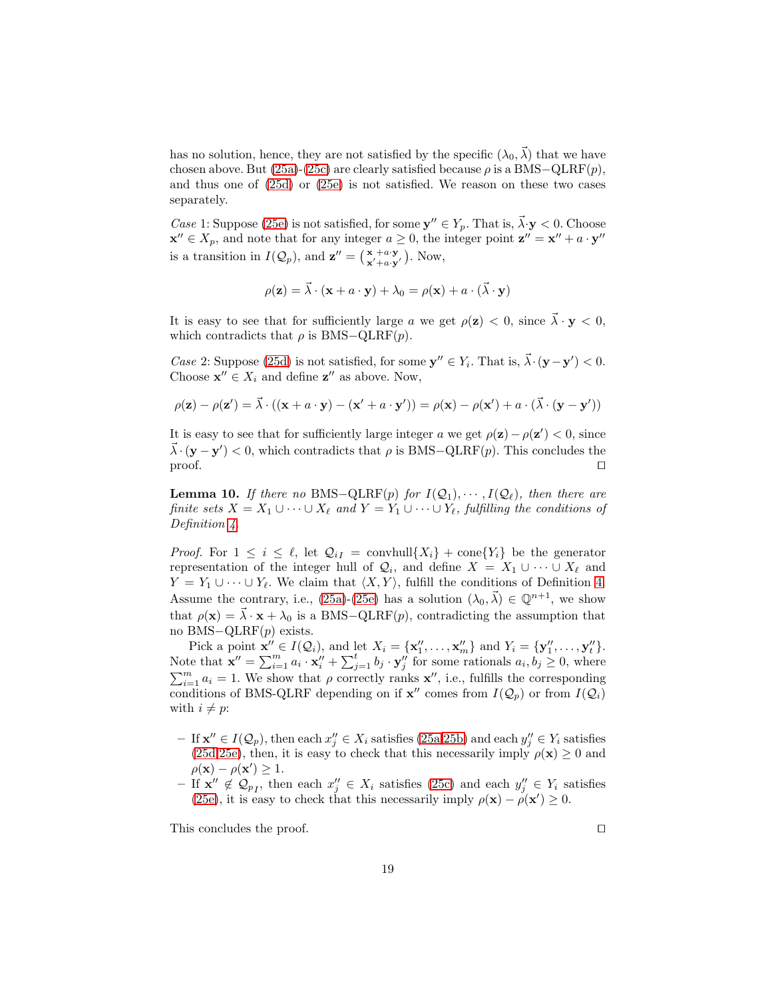has no solution, hence, they are not satisfied by the specific  $(\lambda_0, \vec{\lambda})$  that we have chosen above. But [\(25a\)](#page-17-2)-[\(25c\)](#page-17-4) are clearly satisfied because  $\rho$  is a BMS–QLRF(p), and thus one of [\(25d\)](#page-17-5) or [\(25e\)](#page-17-3) is not satisfied. We reason on these two cases separately.

Case 1: Suppose [\(25e\)](#page-17-3) is not satisfied, for some  $y'' \in Y_p$ . That is,  $\vec{\lambda} \cdot y < 0$ . Choose  $\mathbf{x}'' \in X_p$ , and note that for any integer  $a \geq 0$ , the integer point  $\mathbf{z}'' = \mathbf{x}'' + a \cdot \mathbf{y}''$ is a transition in  $I(Q_p)$ , and  $\mathbf{z}'' = \begin{pmatrix} \mathbf{x} + a \cdot \mathbf{y} \\ \mathbf{x}' + a \cdot \mathbf{y}' \end{pmatrix}$ . Now,

$$
\rho(\mathbf{z}) = \vec{\lambda} \cdot (\mathbf{x} + a \cdot \mathbf{y}) + \lambda_0 = \rho(\mathbf{x}) + a \cdot (\vec{\lambda} \cdot \mathbf{y})
$$

It is easy to see that for sufficiently large a we get  $\rho(\mathbf{z}) < 0$ , since  $\vec{\lambda} \cdot \mathbf{y} < 0$ , which contradicts that  $\rho$  is BMS–QLRF(p).

*Case* 2: Suppose [\(25d\)](#page-17-5) is not satisfied, for some  $y'' \in Y_i$ . That is,  $\vec{\lambda} \cdot (\mathbf{y} - \mathbf{y}') < 0$ . Choose  $\mathbf{x}'' \in X_i$  and define  $\mathbf{z}''$  as above. Now,

$$
\rho(\mathbf{z}) - \rho(\mathbf{z}') = \vec{\lambda} \cdot ((\mathbf{x} + a \cdot \mathbf{y}) - (\mathbf{x}' + a \cdot \mathbf{y}')) = \rho(\mathbf{x}) - \rho(\mathbf{x}') + a \cdot (\vec{\lambda} \cdot (\mathbf{y} - \mathbf{y}'))
$$

It is easy to see that for sufficiently large integer a we get  $\rho(\mathbf{z}) - \rho(\mathbf{z}') < 0$ , since  $\vec{\lambda} \cdot (\mathbf{y} - \mathbf{y}') < 0$ , which contradicts that  $\rho$  is BMS-QLRF(p). This concludes the proof. □

<span id="page-18-0"></span>**Lemma 10.** If there no BMS–QLRF(p) for  $I(Q_1), \cdots, I(Q_\ell)$ , then there are finite sets  $X = X_1 \cup \cdots \cup X_\ell$  and  $Y = Y_1 \cup \cdots \cup Y_\ell$ , fulfilling the conditions of Definition [4.](#page-17-1)

*Proof.* For  $1 \leq i \leq \ell$ , let  $\mathcal{Q}_{i} = \text{convhull}\{X_i\} + \text{cone}\{Y_i\}$  be the generator representation of the integer hull of  $\mathcal{Q}_i$ , and define  $X = X_1 \cup \cdots \cup X_\ell$  and  $Y = Y_1 \cup \cdots \cup Y_\ell$ . We claim that  $\langle X, Y \rangle$ , fulfill the conditions of Definition [4.](#page-17-1) Assume the contrary, i.e., [\(25a\)](#page-17-2)-[\(25e\)](#page-17-3) has a solution  $(\lambda_0, \vec{\lambda}) \in \mathbb{Q}^{n+1}$ , we show that  $\rho(\mathbf{x}) = \overrightarrow{\lambda} \cdot \mathbf{x} + \lambda_0$  is a BMS-QLRF(p), contradicting the assumption that no BMS−QLRF(p) exists.

Pick a point  $\mathbf{x}'' \in I(\mathcal{Q}_i)$ , and let  $X_i = {\mathbf{x}_1''}, \dots, {\mathbf{x}_m''}$  and  $Y_i = {\mathbf{y}_1''}, \dots, {\mathbf{y}_t''}$ . Note that  $\mathbf{x}'' = \sum_{i=1}^{m} a_i \cdot \mathbf{x}_i'' + \sum_{j=1}^{t} b_j \cdot \mathbf{y}_j''$  for some rationals  $a_i, b_j \geq 0$ , where  $\sum_{i=1}^{m} a_i = 1$ . We show that  $\rho$  correctly ranks  $\mathbf{x}''$ , i.e., fulfills the corresponding conditions of BMS-QLRF depending on if  $\mathbf{x}''$  comes from  $I(\mathcal{Q}_p)$  or from  $I(\mathcal{Q}_i)$ with  $i \neq p$ :

- $-$  If  $\mathbf{x}'' \in I(Q_p)$ , then each  $x''_j \in X_i$  satisfies [\(25a](#page-17-2), 25b) and each  $y''_j \in Y_i$  satisfies [\(25d,](#page-17-5)[25e\)](#page-17-3), then, it is easy to check that this necessarily imply  $\rho(\mathbf{x}) \ge 0$  and  $\rho(\mathbf{x}) - \rho(\mathbf{x}') \geq 1.$
- − If  $\mathbf{x}''$  ∉  $\mathcal{Q}_{p}$ , then each  $x''_j \in X_i$  satisfies [\(25c\)](#page-17-4) and each  $y''_j \in Y_i$  satisfies [\(25e\)](#page-17-3), it is easy to check that this necessarily imply  $\rho(\mathbf{x}) - \rho(\mathbf{x}') \geq 0$ .

This concludes the proof. □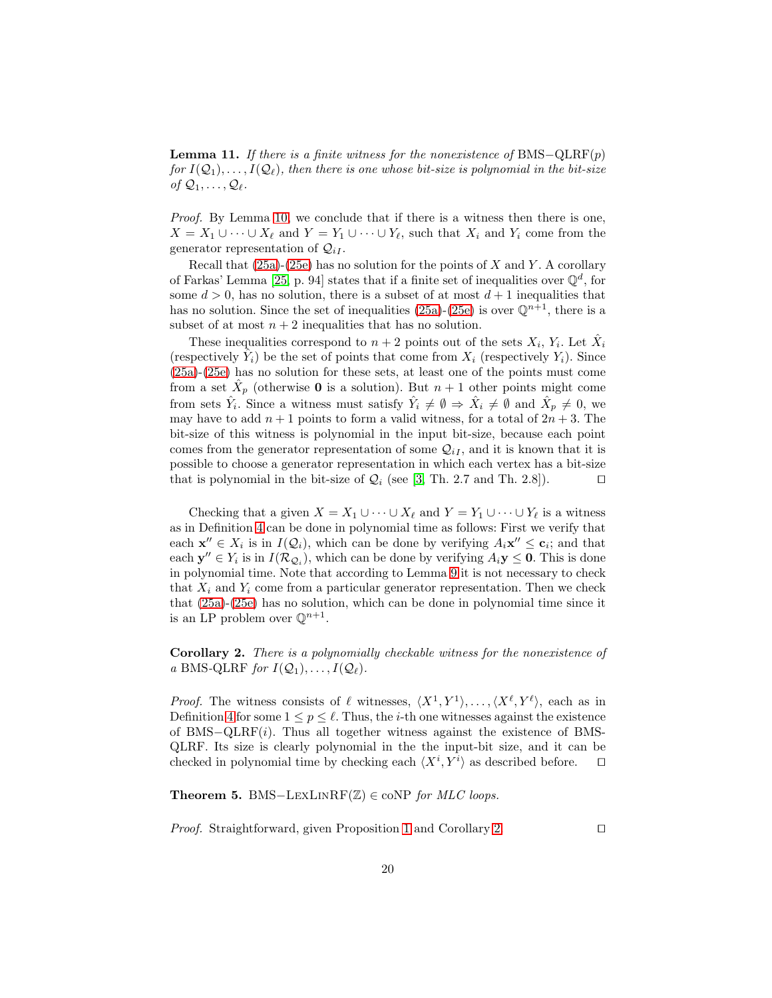**Lemma 11.** If there is a finite witness for the nonexistence of BMS– $\text{QLRF}(p)$ for  $I(Q_1), \ldots, I(Q_\ell)$ , then there is one whose bit-size is polynomial in the bit-size of  $\mathcal{Q}_1, \ldots, \mathcal{Q}_\ell$ .

Proof. By Lemma [10,](#page-18-0) we conclude that if there is a witness then there is one,  $X = X_1 \cup \cdots \cup X_\ell$  and  $Y = Y_1 \cup \cdots \cup Y_\ell$ , such that  $X_i$  and  $Y_i$  come from the generator representation of  $\mathcal{Q}_{iI}$ .

Recall that  $(25a)-(25e)$  $(25a)-(25e)$  has no solution for the points of X and Y. A corollary of Farkas' Lemma [\[25,](#page-16-4) p. 94] states that if a finite set of inequalities over  $\mathbb{Q}^d$ , for some  $d > 0$ , has no solution, there is a subset of at most  $d+1$  inequalities that has no solution. Since the set of inequalities [\(25a\)](#page-17-2)-[\(25e\)](#page-17-3) is over  $\mathbb{Q}^{n+1}$ , there is a subset of at most  $n + 2$  inequalities that has no solution.

These inequalities correspond to  $n+2$  points out of the sets  $X_i$ ,  $Y_i$ . Let  $\hat{X}_i$ (respectively  $\hat{Y}_i$ ) be the set of points that come from  $X_i$  (respectively  $Y_i$ ). Since [\(25a\)](#page-17-2)-[\(25e\)](#page-17-3) has no solution for these sets, at least one of the points must come from a set  $\hat{X}_p$  (otherwise **0** is a solution). But  $n + 1$  other points might come from sets  $\hat{Y}_i$ . Since a witness must satisfy  $\hat{Y}_i \neq \emptyset \Rightarrow \hat{X}_i \neq \emptyset$  and  $\hat{X}_p \neq 0$ , we may have to add  $n+1$  points to form a valid witness, for a total of  $2n+3$ . The bit-size of this witness is polynomial in the input bit-size, because each point comes from the generator representation of some  $\mathcal{Q}_{iI}$ , and it is known that it is possible to choose a generator representation in which each vertex has a bit-size that is polynomial in the bit-size of  $\mathcal{Q}_i$  (see [\[3,](#page-15-3) Th. 2.7 and Th. 2.8]). □

Checking that a given  $X = X_1 \cup \cdots \cup X_\ell$  and  $Y = Y_1 \cup \cdots \cup Y_\ell$  is a witness as in Definition [4](#page-17-1) can be done in polynomial time as follows: First we verify that each  $\mathbf{x}'' \in X_i$  is in  $I(Q_i)$ , which can be done by verifying  $A_i \mathbf{x}'' \leq \mathbf{c}_i$ ; and that each  $y'' \in Y_i$  is in  $I(\mathcal{R}_{\mathcal{Q}_i})$ , which can be done by verifying  $A_i y \leq 0$ . This is done in polynomial time. Note that according to Lemma [9](#page-17-7) it is not necessary to check that  $X_i$  and  $Y_i$  come from a particular generator representation. Then we check that [\(25a\)](#page-17-2)-[\(25e\)](#page-17-3) has no solution, which can be done in polynomial time since it is an LP problem over  $\mathbb{Q}^{n+1}$ .

<span id="page-19-0"></span>Corollary 2. There is a polynomially checkable witness for the nonexistence of a BMS-QLRF for  $I(\mathcal{Q}_1), \ldots, I(\mathcal{Q}_\ell)$ .

*Proof.* The witness consists of  $\ell$  witnesses,  $\langle X^1, Y^1 \rangle, \ldots, \langle X^{\ell}, Y^{\ell} \rangle$ , each as in Definition [4](#page-17-1) for some  $1 \leq p \leq \ell$ . Thus, the *i*-th one witnesses against the existence of BMS−QLRF(i). Thus all together witness against the existence of BMS-QLRF. Its size is clearly polynomial in the the input-bit size, and it can be checked in polynomial time by checking each  $\langle X^i, Y^i \rangle$  as described before.  $\Box$ 

Theorem 5. BMS-LEXLINRF( $\mathbb{Z}$ ) ∈ coNP for MLC loops.

Proof. Straightforward, given Proposition [1](#page-6-0) and Corollary [2.](#page-19-0) □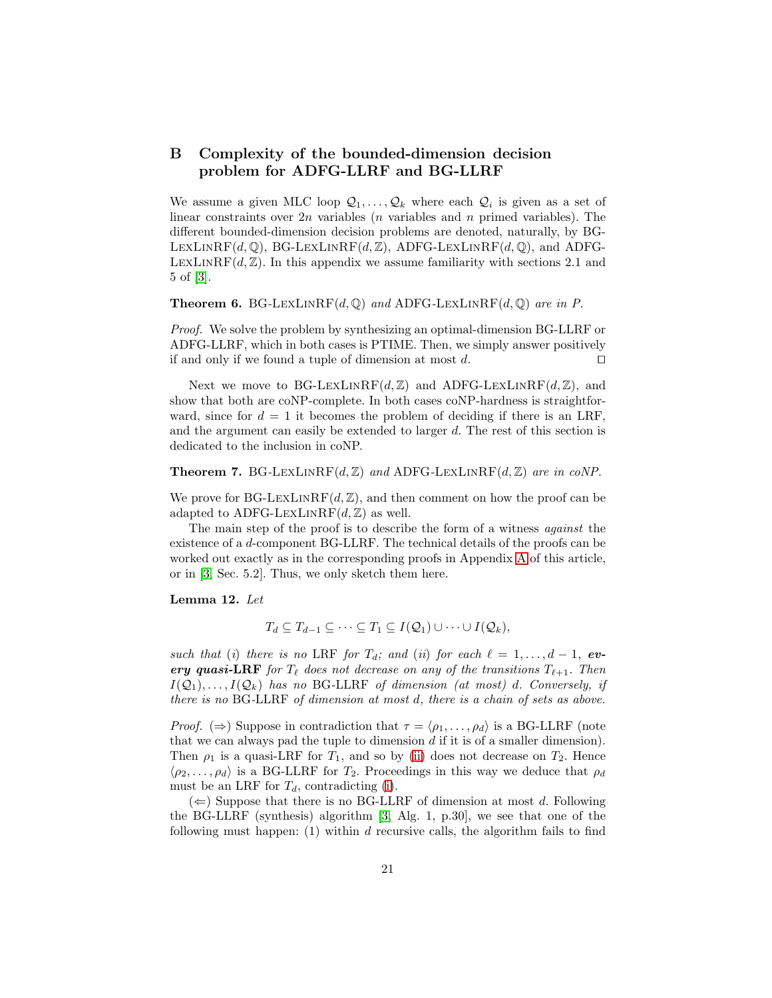## <span id="page-20-0"></span>B Complexity of the bounded-dimension decision problem for ADFG-LLRF and BG-LLRF

We assume a given MLC loop  $\mathcal{Q}_1, \ldots, \mathcal{Q}_k$  where each  $\mathcal{Q}_i$  is given as a set of linear constraints over  $2n$  variables (*n* variables and *n* primed variables). The different bounded-dimension decision problems are denoted, naturally, by BG-LEXLINRF(d, Q), BG-LEXLINRF(d, Z), ADFG-LEXLINRF(d, Q), and ADFG-LEXLINRF( $d, \mathbb{Z}$ ). In this appendix we assume familiarity with sections 2.1 and 5 of [\[3\]](#page-15-3).

**Theorem 6.** BG-LEXLINRF(d,  $\mathbb{Q}$ ) and ADFG-LEXLINRF(d,  $\mathbb{Q}$ ) are in P.

Proof. We solve the problem by synthesizing an optimal-dimension BG-LLRF or ADFG-LLRF, which in both cases is PTIME. Then, we simply answer positively if and only if we found a tuple of dimension at most  $d$ . □

Next we move to BG-LEXLINRF(d,  $\mathbb{Z}$ ) and ADFG-LEXLINRF(d,  $\mathbb{Z}$ ), and show that both are coNP-complete. In both cases coNP-hardness is straightforward, since for  $d = 1$  it becomes the problem of deciding if there is an LRF. and the argument can easily be extended to larger d. The rest of this section is dedicated to the inclusion in coNP.

#### <span id="page-20-4"></span>**Theorem 7.** BG-LEXLINRF( $d, \mathbb{Z}$ ) and ADFG-LEXLINRF( $d, \mathbb{Z}$ ) are in coNP.

We prove for BG-LEXLINRF( $d, \mathbb{Z}$ ), and then comment on how the proof can be adapted to ADFG-LEXLINRF $(d, \mathbb{Z})$  as well.

The main step of the proof is to describe the form of a witness *against* the existence of a d-component BG-LLRF. The technical details of the proofs can be worked out exactly as in the corresponding proofs in Appendix [A](#page-17-0) of this article, or in [\[3,](#page-15-3) Sec. 5.2]. Thus, we only sketch them here.

#### <span id="page-20-3"></span>Lemma 12. Let

<span id="page-20-2"></span><span id="page-20-1"></span>
$$
T_d \subseteq T_{d-1} \subseteq \cdots \subseteq T_1 \subseteq I(\mathcal{Q}_1) \cup \cdots \cup I(\mathcal{Q}_k),
$$

such that (i) there is no LRF for  $T_d$ ; and (ii) for each  $\ell = 1, \ldots, d-1$ , every quasi-LRF for  $T_{\ell}$  does not decrease on any of the transitions  $T_{\ell+1}$ . Then  $I(\mathcal{Q}_1), \ldots, I(\mathcal{Q}_k)$  has no BG-LLRF of dimension (at most) d. Conversely, if there is no BG-LLRF of dimension at most d, there is a chain of sets as above.

*Proof.* ( $\Rightarrow$ ) Suppose in contradiction that  $\tau = \langle \rho_1, \ldots, \rho_d \rangle$  is a BG-LLRF (note that we can always pad the tuple to dimension  $d$  if it is of a smaller dimension). Then  $\rho_1$  is a quasi-LRF for  $T_1$ , and so by [\(ii\)](#page-20-1) does not decrease on  $T_2$ . Hence  $\langle \rho_2, \ldots, \rho_d \rangle$  is a BG-LLRF for  $T_2$ . Proceedings in this way we deduce that  $\rho_d$ must be an LRF for  $T_d$ , contradicting [\(i\)](#page-20-2).

 $(\Leftarrow)$  Suppose that there is no BG-LLRF of dimension at most d. Following the BG-LLRF (synthesis) algorithm [\[3,](#page-15-3) Alg. 1, p.30], we see that one of the following must happen:  $(1)$  within d recursive calls, the algorithm fails to find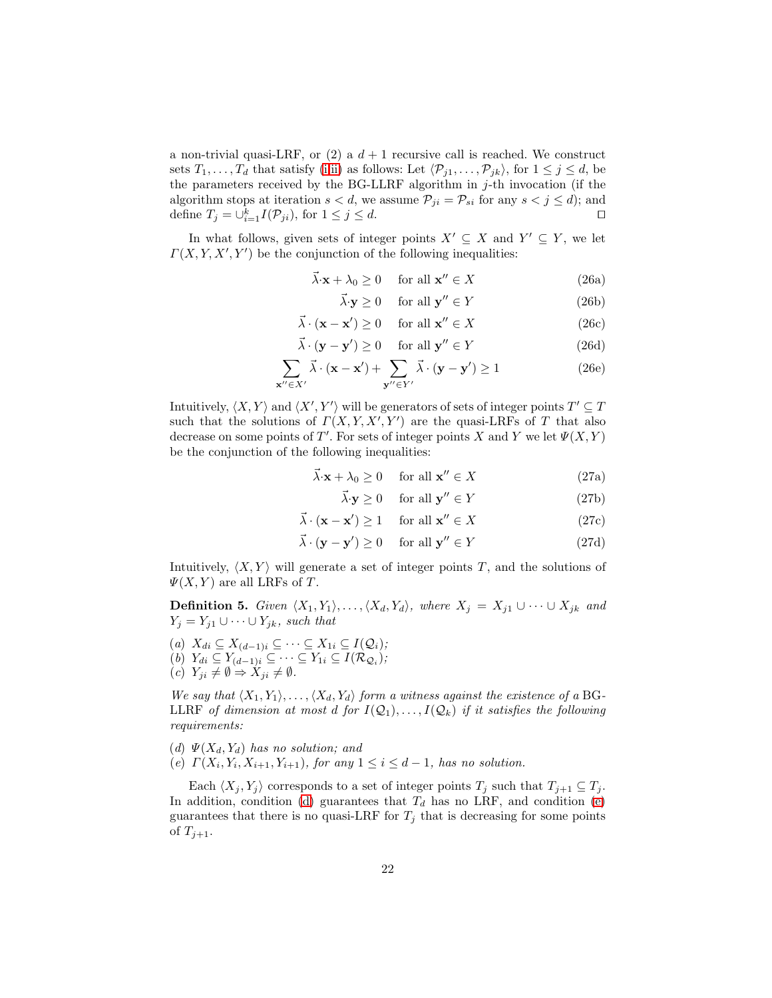a non-trivial quasi-LRF, or (2) a  $d+1$  recursive call is reached. We construct sets  $T_1, \ldots, T_d$  that satisfy [\(i,](#page-20-2)[ii\)](#page-20-1) as follows: Let  $\langle P_{j1}, \ldots, P_{jk} \rangle$ , for  $1 \leq j \leq d$ , be the parameters received by the BG-LLRF algorithm in  $j$ -th invocation (if the algorithm stops at iteration  $s < d$ , we assume  $\mathcal{P}_{ji} = \mathcal{P}_{si}$  for any  $s < j \le d$ ); and define  $T_j = \bigcup_{i=1}^k I(\mathcal{P}_{ji})$ , for  $1 \leq j \leq d$ .  $\Box$ 

In what follows, given sets of integer points  $X' \subseteq X$  and  $Y' \subseteq Y$ , we let  $\Gamma(X, Y, X', Y')$  be the conjunction of the following inequalities:

$$
\vec{\lambda} \cdot \mathbf{x} + \lambda_0 \ge 0 \quad \text{for all } \mathbf{x}'' \in X \tag{26a}
$$

$$
\vec{\lambda} \cdot \mathbf{y} \ge 0 \quad \text{ for all } \mathbf{y}'' \in Y \tag{26b}
$$

$$
\vec{\lambda} \cdot (\mathbf{x} - \mathbf{x}') \ge 0 \quad \text{ for all } \mathbf{x}'' \in X \tag{26c}
$$

$$
\vec{\lambda} \cdot (\mathbf{y} - \mathbf{y}') \ge 0 \quad \text{for all } \mathbf{y}'' \in Y \tag{26d}
$$

$$
\sum_{\mathbf{x}'' \in X'} \vec{\lambda} \cdot (\mathbf{x} - \mathbf{x}') + \sum_{\mathbf{y}'' \in Y'} \vec{\lambda} \cdot (\mathbf{y} - \mathbf{y}') \ge 1
$$
 (26e)

Intuitively,  $\langle X, Y \rangle$  and  $\langle X', Y' \rangle$  will be generators of sets of integer points  $T' \subseteq T$ such that the solutions of  $\Gamma(X, Y, X', Y')$  are the quasi-LRFs of T that also decrease on some points of T'. For sets of integer points X and Y we let  $\Psi(X,Y)$ be the conjunction of the following inequalities:

$$
\vec{\lambda} \cdot \mathbf{x} + \lambda_0 \ge 0 \quad \text{for all } \mathbf{x}'' \in X \tag{27a}
$$

$$
\vec{\lambda} \cdot \mathbf{y} \ge 0 \quad \text{ for all } \mathbf{y}'' \in Y \tag{27b}
$$

$$
\vec{\lambda} \cdot (\mathbf{x} - \mathbf{x}') \ge 1 \quad \text{ for all } \mathbf{x}'' \in X \tag{27c}
$$

$$
\vec{\lambda} \cdot (\mathbf{y} - \mathbf{y}') \ge 0 \quad \text{ for all } \mathbf{y}'' \in Y \tag{27d}
$$

<span id="page-21-2"></span>Intuitively,  $\langle X, Y \rangle$  will generate a set of integer points T, and the solutions of  $\Psi(X, Y)$  are all LRFs of T.

**Definition 5.** Given  $\langle X_1, Y_1 \rangle, \ldots, \langle X_d, Y_d \rangle$ , where  $X_j = X_{j1} \cup \cdots \cup X_{jk}$  and  $Y_j = Y_{j1} \cup \cdots \cup Y_{jk}$ , such that

- <span id="page-21-5"></span><span id="page-21-4"></span> $(a)$   $X_{di} \subseteq X_{(d-1)i} \subseteq \cdots \subseteq X_{1i} \subseteq I(Q_i);$
- <span id="page-21-3"></span>(b)  $Y_{di} \subseteq Y_{(d-1)i} \subseteq \cdots \subseteq Y_{1i} \subseteq I(\mathcal{R}_{\mathcal{Q}_i});$
- $(c)$   $Y_{ji} \neq \emptyset \Rightarrow X_{ji} \neq \emptyset$ .

We say that  $\langle X_1, Y_1 \rangle, \ldots, \langle X_d, Y_d \rangle$  form a witness against the existence of a BG-LLRF of dimension at most d for  $I(Q_1), \ldots, I(Q_k)$  if it satisfies the following requirements:

- <span id="page-21-1"></span><span id="page-21-0"></span>(d)  $\Psi(X_d, Y_d)$  has no solution; and
- (e)  $\Gamma(X_i, Y_i, X_{i+1}, Y_{i+1})$ , for any  $1 \leq i \leq d-1$ , has no solution.

Each  $\langle X_j, Y_j \rangle$  corresponds to a set of integer points  $T_j$  such that  $T_{j+1} \subseteq T_j$ . In addition, condition [\(d\)](#page-21-0) guarantees that  $T_d$  has no LRF, and condition [\(e\)](#page-21-1) guarantees that there is no quasi-LRF for  $T_j$  that is decreasing for some points of  $T_{j+1}$ .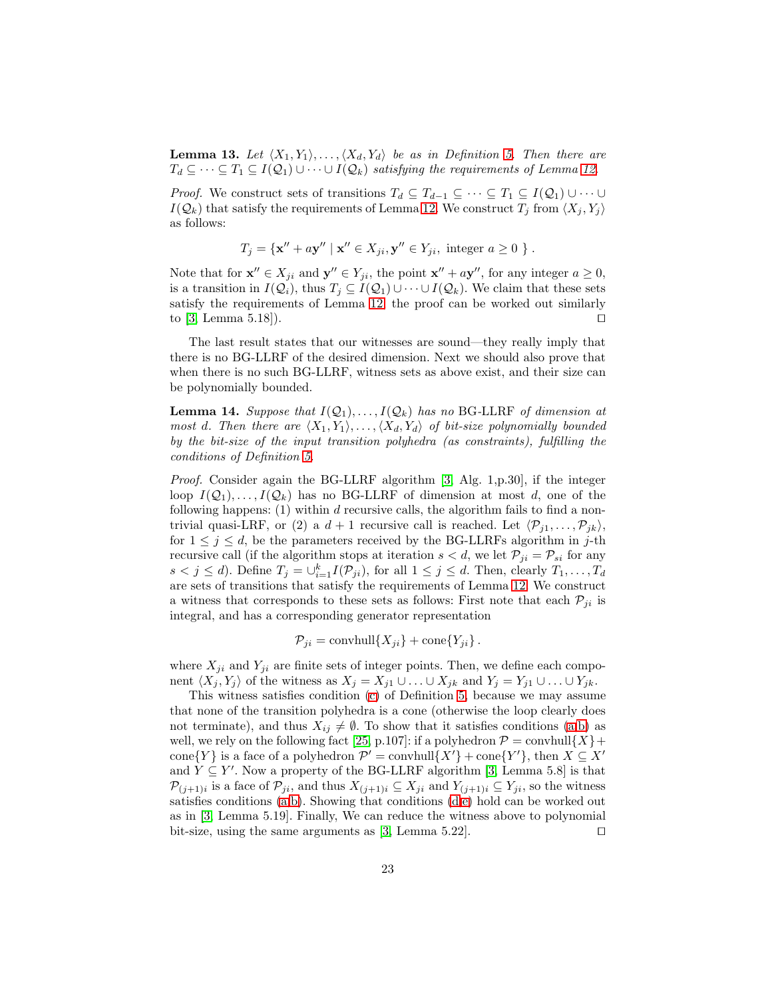**Lemma 13.** Let  $\langle X_1, Y_1 \rangle, \ldots, \langle X_d, Y_d \rangle$  be as in Definition [5.](#page-21-2) Then there are  $T_d \subseteq \cdots \subseteq T_1 \subseteq I(Q_1) \cup \cdots \cup I(Q_k)$  satisfying the requirements of Lemma [12.](#page-20-3)

*Proof.* We construct sets of transitions  $T_d \subseteq T_{d-1} \subseteq \cdots \subseteq T_1 \subseteq I(\mathcal{Q}_1) \cup \cdots \cup$  $I(Q_k)$  that satisfy the requirements of Lemma [12.](#page-20-3) We construct  $T_i$  from  $\langle X_i, Y_i \rangle$ as follows:

$$
T_j = \{ \mathbf{x}'' + a\mathbf{y}'' \mid \mathbf{x}'' \in X_{ji}, \mathbf{y}'' \in Y_{ji}, \text{ integer } a \ge 0 \}.
$$

Note that for  $\mathbf{x}'' \in X_{ji}$  and  $\mathbf{y}'' \in Y_{ji}$ , the point  $\mathbf{x}'' + a\mathbf{y}''$ , for any integer  $a \ge 0$ , is a transition in  $I(Q_i)$ , thus  $T_i \subseteq I(Q_1) \cup \cdots \cup I(Q_k)$ . We claim that these sets satisfy the requirements of Lemma [12;](#page-20-3) the proof can be worked out similarly to [\[3,](#page-15-3) Lemma 5.18]). □

The last result states that our witnesses are sound—they really imply that there is no BG-LLRF of the desired dimension. Next we should also prove that when there is no such BG-LLRF, witness sets as above exist, and their size can be polynomially bounded.

**Lemma 14.** Suppose that  $I(Q_1), \ldots, I(Q_k)$  has no BG-LLRF of dimension at most d. Then there are  $\langle X_1, Y_1 \rangle, \ldots, \langle X_d, Y_d \rangle$  of bit-size polynomially bounded by the bit-size of the input transition polyhedra (as constraints), fulfilling the conditions of Definition [5.](#page-21-2)

Proof. Consider again the BG-LLRF algorithm [\[3,](#page-15-3) Alg. 1,p.30], if the integer loop  $I(Q_1), \ldots, I(Q_k)$  has no BG-LLRF of dimension at most d, one of the following happens:  $(1)$  within d recursive calls, the algorithm fails to find a nontrivial quasi-LRF, or (2) a  $d+1$  recursive call is reached. Let  $\langle \mathcal{P}_{j1}, \ldots, \mathcal{P}_{jk} \rangle$ , for  $1 \leq j \leq d$ , be the parameters received by the BG-LLRFs algorithm in j-th recursive call (if the algorithm stops at iteration  $s < d$ , we let  $\mathcal{P}_{ji} = \mathcal{P}_{si}$  for any  $s < j \le d$ ). Define  $T_j = \bigcup_{i=1}^k I(\mathcal{P}_{ji})$ , for all  $1 \le j \le d$ . Then, clearly  $T_1, \ldots, T_d$ are sets of transitions that satisfy the requirements of Lemma [12.](#page-20-3) We construct a witness that corresponds to these sets as follows: First note that each  $\mathcal{P}_{ii}$  is integral, and has a corresponding generator representation

$$
\mathcal{P}_{ji} = \text{convhull}\{X_{ji}\} + \text{cone}\{Y_{ji}\}.
$$

where  $X_{ji}$  and  $Y_{ji}$  are finite sets of integer points. Then, we define each component  $\langle X_i, Y_j \rangle$  of the witness as  $X_j = X_{j1} \cup \ldots \cup X_{jk}$  and  $Y_j = Y_{j1} \cup \ldots \cup Y_{jk}$ .

This witness satisfies condition [\(c\)](#page-21-3) of Definition [5,](#page-21-2) because we may assume that none of the transition polyhedra is a cone (otherwise the loop clearly does not terminate), and thus  $X_{ij} \neq \emptyset$ . To show that it satisfies conditions [\(a,](#page-21-4)[b\)](#page-21-5) as well, we rely on the following fact [\[25,](#page-16-4) p.107]: if a polyhedron  $\mathcal{P} = \text{convhull}\{X\} + \mathcal{P}$ cone $\{Y\}$  is a face of a polyhedron  $\mathcal{P}' = \text{convhull}\{X'\} + \text{cone}\{Y'\}$ , then  $X \subseteq X'$ and  $Y \subseteq Y'$ . Now a property of the BG-LLRF algorithm [\[3,](#page-15-3) Lemma 5.8] is that  $\mathcal{P}_{(j+1)i}$  is a face of  $\mathcal{P}_{ji}$ , and thus  $X_{(j+1)i} \subseteq X_{ji}$  and  $Y_{(j+1)i} \subseteq Y_{ji}$ , so the witness satisfies conditions  $(a,b)$  $(a,b)$ . Showing that conditions  $(d,e)$  $(d,e)$  hold can be worked out as in [\[3,](#page-15-3) Lemma 5.19]. Finally, We can reduce the witness above to polynomial bit-size, using the same arguments as [\[3,](#page-15-3) Lemma 5.22]. □